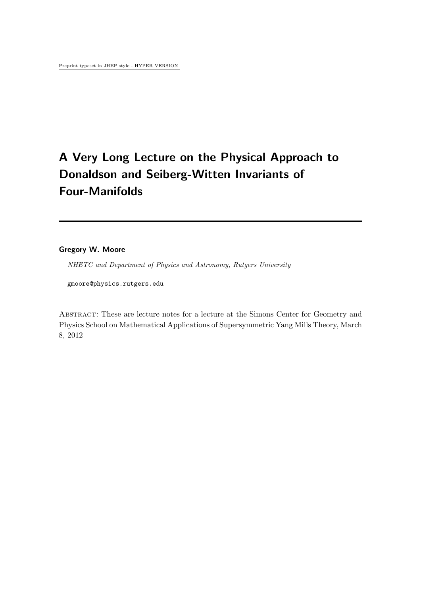# **A Very Long Lecture on the Physical Approach to Donaldson and Seiberg-Witten Invariants of Four-Manifolds**

## **Gregory W. Moore**

*NHETC and Department of Physics and Astronomy, Rutgers University*

gmoore@physics.rutgers.edu

ABSTRACT: These are lecture notes for a lecture at the Simons Center for Geometry and Physics School on Mathematical Applications of Supersymmetric Yang Mills Theory, March 8, 2012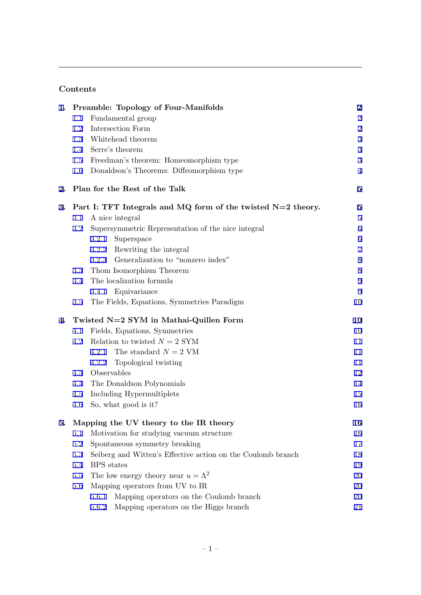## **Contents**

| 1. |         | Preamble: Topology of Four-Manifolds                           | $\boldsymbol{2}$ |
|----|---------|----------------------------------------------------------------|------------------|
|    | 1.1     | Fundamental group                                              | $\sqrt{2}$       |
|    | 1.2     | Intersection Form                                              | $\sqrt{2}$       |
|    | 1.3     | Whitehead theorem                                              | $\sqrt{3}$       |
|    | $1.4\,$ | Serre's theorem                                                | $\sqrt{3}$       |
|    | $1.5\,$ | Freedman's theorem: Homeomorphism type                         | 3                |
|    | 1.6     | Donaldson's Theorems: Diffeomorphism type                      | $\overline{4}$   |
| 2. |         | Plan for the Rest of the Talk                                  | $\bf{5}$         |
| 3. |         | Part I: TFT Integrals and MQ form of the twisted $N=2$ theory. | $\bf{5}$         |
|    | 3.1     | A nice integral                                                | $\bf 5$          |
|    | 3.2     | Supersymmetric Representation of the nice integral             | $\,6\,$          |
|    |         | 3.2.1<br>Superspace                                            | $\,6\,$          |
|    |         | Rewriting the integral<br>3.2.2                                | $\overline{7}$   |
|    |         | Generalization to "nonzero index"<br>3.2.3                     | $8\,$            |
|    | 3.3     | Thom Isomorphism Theorem                                       | $8\,$            |
|    | 3.4     | The localization formula                                       | $9\,$            |
|    |         | 3.4.1 Equivariance                                             | 9                |
|    | 3.5     | The Fields, Equations, Symmetries Paradigm                     | 10               |
| 4. |         | Twisted N=2 SYM in Mathai-Quillen Form                         | 10               |
|    | 4.1     | Fields, Equations, Symmetries                                  | 10               |
|    | 4.2     | Relation to twisted $N = 2$ SYM                                | 11               |
|    |         | The standard $N = 2$ VM<br>4.2.1                               | 11               |
|    |         | Topological twisting<br>4.2.2                                  | 11               |
|    | 4.3     | Observables                                                    | 12               |
|    | 4.4     | The Donaldson Polynomials                                      | 14               |
|    | 4.5     | Including Hypermultiplets                                      | 15               |
|    | 4.6     | So, what good is it?                                           | 16               |
| 5. |         | Mapping the UV theory to the IR theory                         | 16               |
|    | 5.1     | Motivation for studying vacuum structure                       | 16               |
|    | 5.2     | Spontaneous symmetry breaking                                  | 17               |
|    | 5.3     | Seiberg and Witten's Effective action on the Coulomb branch    | 18               |
|    | 5.4     | <b>BPS</b> states                                              | 19               |
|    | 5.5     | The low energy theory near $u = \Lambda^2$                     | 20               |
|    | 5.6     | Mapping operators from UV to IR                                | 20               |
|    |         | 5.6.1<br>Mapping operators on the Coulomb branch               | 20               |
|    |         | 5.6.2<br>Mapping operators on the Higgs branch                 | 21               |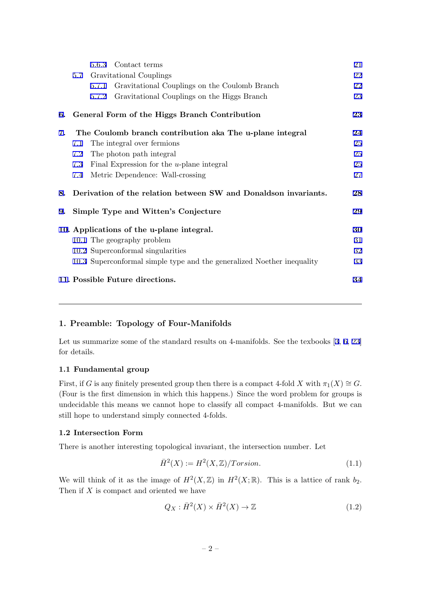<span id="page-2-0"></span>

|    |     | 5.6.3 Contact terms                                                    | 21 |
|----|-----|------------------------------------------------------------------------|----|
|    | 5.7 | Gravitational Couplings                                                | 22 |
|    |     | Gravitational Couplings on the Coulomb Branch<br>5.7.1                 | 22 |
|    |     | Gravitational Couplings on the Higgs Branch<br>5.7.2                   | 23 |
|    |     | 6. General Form of the Higgs Branch Contribution                       | 23 |
| 7. |     | The Coulomb branch contribution aka The u-plane integral               | 24 |
|    | 7.1 | The integral over fermions                                             | 25 |
|    | 7.2 | The photon path integral                                               | 25 |
|    | 7.3 | Final Expression for the $u$ -plane integral                           | 25 |
|    | 7.4 | Metric Dependence: Wall-crossing                                       | 27 |
|    |     | 8. Derivation of the relation between SW and Donaldson invariants.     | 28 |
| 9. |     | Simple Type and Witten's Conjecture                                    | 29 |
|    |     | 10. Applications of the u-plane integral.                              | 30 |
|    |     | 10.1 The geography problem                                             | 31 |
|    |     | 10.2 Superconformal singularities                                      | 32 |
|    |     | 10.3 Superconformal simple type and the generalized Noether inequality | 33 |
|    |     | 11. Possible Future directions.                                        | 34 |

## **1. Preamble: Topology of Four-Manifolds**

Let us summarize some of the standard results on 4-manifolds. See the texbooks [3, 6, 23] for details.

## **1.1 Fundamental group**

First, if *G* is any finitely presented group then there is a compact 4-fold *X* with  $\pi_1(X) \cong G$ . (Four is the first dimension in which this happens.) Since the word problem for groups is undecidable this means we cannot hope to classify all compact 4-manifolds. But we can still hope to understand simply connected 4-folds.

## **1.2 Intersection Form**

There is another interesting topological invariant, the intersection number. Let

$$
\bar{H}^2(X) := H^2(X, \mathbb{Z}) / Torsion.
$$
\n(1.1)

We will think of it as the image of  $H^2(X,\mathbb{Z})$  in  $H^2(X,\mathbb{R})$ . This is a lattice of rank  $b_2$ . Then if *X* is compact and oriented we have

$$
Q_X: \bar{H}^2(X) \times \bar{H}^2(X) \to \mathbb{Z}
$$
\n(1.2)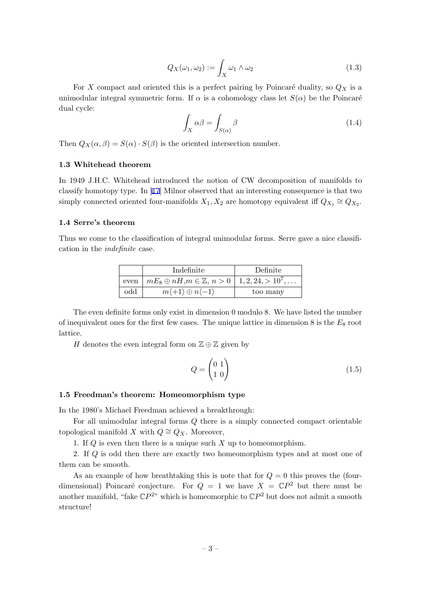$$
Q_X(\omega_1, \omega_2) := \int_X \omega_1 \wedge \omega_2 \tag{1.3}
$$

<span id="page-3-0"></span>For X compact and oriented this is a perfect pairing by Poincaré duality, so  $Q_X$  is a unimodular integral symmetric form. If  $\alpha$  is a cohomology class let  $S(\alpha)$  be the Poincaré dual cycle:

$$
\int_{X} \alpha \beta = \int_{S(\alpha)} \beta \tag{1.4}
$$

Then  $Q_X(\alpha, \beta) = S(\alpha) \cdot S(\beta)$  is the oriented intersection number.

## **1.3 Whitehead theorem**

In 1949 J.H.C. Whitehead introduced the notion of CW decomposition of manifolds to classify homotopy type. In [17] Milnor observed that an interesting consequence is that two simply connected oriented four-manifolds  $X_1, X_2$  are homotopy equivalent iff  $Q_{X_1} \cong Q_{X_2}$ .

#### **1.4 Serre's theorem**

Thus we come to the classification of integral unimodular forms. Serre gave a nice classification in the *indefinite* case.

|     | Indefinite                                                                       | Definite |
|-----|----------------------------------------------------------------------------------|----------|
|     | even $\mid mE_8 \oplus nH, m \in \mathbb{Z}, n > 0 \mid 1, 2, 24, > 10^7, \dots$ |          |
| odd | $m\langle +1 \rangle \oplus n\langle -1 \rangle$                                 | too many |

The even definite forms only exist in dimension 0 modulo 8. We have listed the number of inequivalent ones for the first few cases. The unique lattice in dimension  $8$  is the  $E_8$  root lattice.

*H* denotes the even integral form on  $\mathbb{Z} \oplus \mathbb{Z}$  given by

$$
Q = \begin{pmatrix} 0 & 1 \\ 1 & 0 \end{pmatrix} \tag{1.5}
$$

#### **1.5 Freedman's theorem: Homeomorphism type**

In the 1980's Michael Freedman achieved a breakthrough:

For all unimodular integral forms *Q* there is a simply connected compact orientable topological manifold *X* with  $Q \cong Q_X$ . Moreover,

1. If *Q* is even then there is a unique such *X* up to homeomorphism.

2. If *Q* is odd then there are exactly two homeomorphism types and at most one of them can be smooth.

As an example of how breathtaking this is note that for  $Q = 0$  this proves the (fourdimensional) Poincaré conjecture. For  $Q = 1$  we have  $X = \mathbb{C}P^2$  but there must be another manifold, "fake  $\mathbb{C}P^{2}$ " which is homeomorphic to  $\mathbb{C}P^2$  but does not admit a smooth structure!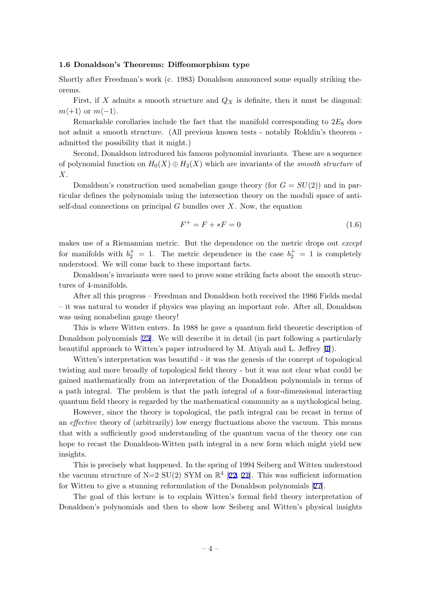#### <span id="page-4-0"></span>**1.6 Donaldson's Theorems: Diffeomorphism type**

Shortly after Freedman's work (c. 1983) Donaldson announced some equally striking theorems.

First, if  $X$  admits a smooth structure and  $Q_X$  is definite, then it must be diagonal:  $m\langle+1\rangle$  or  $m\langle-1\rangle$ .

Remarkable corollaries include the fact that the manifold corresponding to 2*E*<sup>8</sup> does not admit a smooth structure. (All previous known tests - notably Rokhlin's theorem admitted the possibility that it might.)

Second, Donaldson introduced his famous polynomial invariants. These are a sequence of polynomial function on  $H_0(X) \oplus H_2(X)$  which are invariants of the *smooth structure* of *X*.

Donaldson's construction used nonabelian gauge theory (for  $G = SU(2)$ ) and in particular defines the polynomials using the intersection theory on the moduli space of antiself-dual connections on principal *G* bundles over *X*. Now, the equation

$$
F^{+} = F + *F = 0 \tag{1.6}
$$

makes use of a Riemannian metric. But the dependence on the metric drops out *except* for manifolds with  $b_2^+ = 1$ . The metric dependence in the case  $b_2^+ = 1$  is completely understood. We will come back to these important facts.

Donaldson's invariants were used to prove some striking facts about the smooth structures of 4-manifolds.

After all this progress – Freedman and Donaldson both received the 1986 Fields medal – it was natural to wonder if physics was playing an important role. After all, Donaldson was using nonabelian gauge theory!

This is where Witten enters. In 1988 he gave a quantum field theoretic description of Donaldson polynomials [25]. We will describe it in detail (in part following a particularly beautiful approach to Witten's paper introduced by M. Atiyah and L. Jeffrey [1]).

Witten's interpretation was beautiful - it was the genesis of the concept of topological twisting and more broad[ly](#page-35-0) of topological field theory - but it was not clear what could be gained mathematically from an interpretation of the Donaldson polynomials [in](#page-34-0) terms of a path integral. The problem is that the path integral of a four-dimensional interacting quantum field theory is regarded by the mathematical community as a mythological being.

However, since the theory is topological, the path integral can be recast in terms of an *effective* theory of (arbitrarily) low energy fluctuations above the vacuum. This means that with a sufficiently good understanding of the quantum vacua of the theory one can hope to recast the Donaldson-Witten path integral in a new form which might yield new insights.

This is precisely what happened. In the spring of 1994 Seiberg and Witten understood the vacuum structure of  $N=2$  SU(2) SYM on  $\mathbb{R}^4$  [22, 21]. This was sufficient information for Witten to give a stunning reformulation of the Donaldson polynomials [27].

The goal of this lecture is to explain Witten's formal field theory interpretation of Donaldson's polynomials and then to show how [Seiber](#page-35-0)g and Witten's physical insights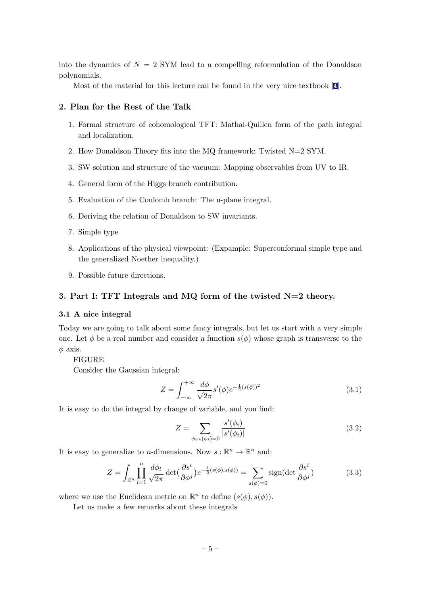<span id="page-5-0"></span>into the dynamics of  $N = 2$  SYM lead to a compelling reformulation of the Donaldson polynomials.

Most of the material for this lecture can be found in the very nice textbook [9].

## **2. Plan for the Rest of the Talk**

- 1. Formal structure of cohomological TFT: Mathai-Quillen form of the path [i](#page-35-0)ntegral and localization.
- 2. How Donaldson Theory fits into the MQ framework: Twisted N=2 SYM.
- 3. SW solution and structure of the vacuum: Mapping observables from UV to IR.
- 4. General form of the Higgs branch contribution.
- 5. Evaluation of the Coulomb branch: The u-plane integral.
- 6. Deriving the relation of Donaldson to SW invariants.
- 7. Simple type
- 8. Applications of the physical viewpoint: (Expample: Superconformal simple type and the generalized Noether inequality.)
- 9. Possible future directions.

## **3. Part I: TFT Integrals and MQ form of the twisted N=2 theory.**

## **3.1 A nice integral**

Today we are going to talk about some fancy integrals, but let us start with a very simple one. Let  $\phi$  be a real number and consider a function  $s(\phi)$  whose graph is transverse to the  $\phi$  axis.

#### FIGURE

Consider the Gaussian integral:

$$
Z = \int_{-\infty}^{+\infty} \frac{d\phi}{\sqrt{2\pi}} s'(\phi) e^{-\frac{1}{2}(s(\phi))^2}
$$
(3.1)

It is easy to do the integral by change of variable, and you find:

$$
Z = \sum_{\phi_i : s(\phi_i) = 0} \frac{s'(\phi_i)}{|s'(\phi_i)|}
$$
(3.2)

It is easy to generalize to *n*-dimensions. Now  $s : \mathbb{R}^n \to \mathbb{R}^n$  and:

$$
Z = \int_{\mathbb{R}^n} \prod_{i=1}^n \frac{d\phi_i}{\sqrt{2\pi}} \det\left(\frac{\partial s^i}{\partial \phi^j}\right) e^{-\frac{1}{2}(s(\phi), s(\phi))} = \sum_{s(\phi)=0} \text{sign}(\det \frac{\partial s^i}{\partial \phi^j})
$$
(3.3)

where we use the Euclidean metric on  $\mathbb{R}^n$  to define  $(s(\phi), s(\phi))$ .

Let us make a few remarks about these integrals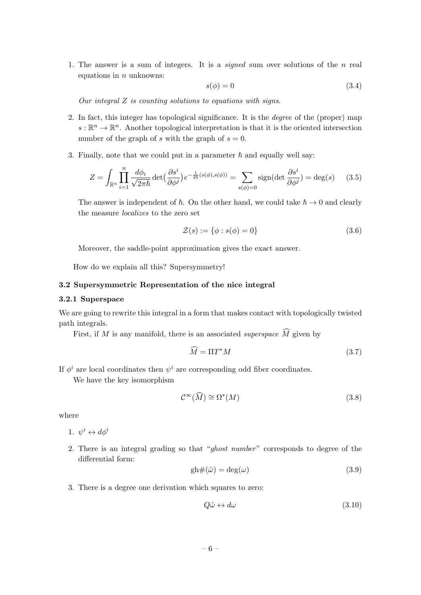<span id="page-6-0"></span>1. The answer is a sum of integers. It is a *signed* sum over solutions of the *n* real equations in *n* unknowns:

$$
s(\phi) = 0 \tag{3.4}
$$

*Our integral Z is counting solutions to equations with signs*.

- 2. In fact, this integer has topological significance. It is the *degree* of the (proper) map  $s: \mathbb{R}^n \to \mathbb{R}^n$ . Another topological interpretation is that it is the oriented intersection number of the graph of *s* with the graph of  $s = 0$ .
- 3. Finally, note that we could put in a parameter  $\hbar$  and equally well say:

$$
Z = \int_{\mathbb{R}^n} \prod_{i=1}^n \frac{d\phi_i}{\sqrt{2\pi\hbar}} \det\left(\frac{\partial s^i}{\partial \phi^j}\right) e^{-\frac{1}{2\hbar}(s(\phi), s(\phi))} = \sum_{s(\phi)=0} \text{sign}(\det \frac{\partial s^i}{\partial \phi^j}) = \deg(s) \tag{3.5}
$$

The answer is independent of  $\hbar$ . On the other hand, we could take  $\hbar \to 0$  and clearly the measure *localizes* to the zero set

$$
\mathcal{Z}(s) := \{ \phi : s(\phi) = 0 \}
$$
\n
$$
(3.6)
$$

Moreover, the saddle-point approximation gives the exact answer.

How do we explain all this? Supersymmetry!

## **3.2 Supersymmetric Representation of the nice integral**

#### **3.2.1 Superspace**

We are going to rewrite this integral in a form that makes contact with topologically twisted path integrals.

First, if *M* is any manifold, there is an associated *superspace*  $\widehat{M}$  given by

$$
\widehat{M} = \Pi T^* M \tag{3.7}
$$

If  $\phi^i$  are local coordinates then  $\psi^i$  are corresponding odd fiber coordinates.

We have the key isomorphism

$$
\mathcal{C}^{\infty}(\widehat{M}) \cong \Omega^*(M) \tag{3.8}
$$

where

1.  $\psi^i \leftrightarrow d\phi^i$ 

2. There is an integral grading so that "*ghost number*" corresponds to degree of the differential form:

$$
gh#(\hat{\omega}) = deg(\omega)
$$
\n(3.9)

3. There is a degree one derivation which squares to zero:

$$
Q\hat{\omega} \leftrightarrow d\omega \tag{3.10}
$$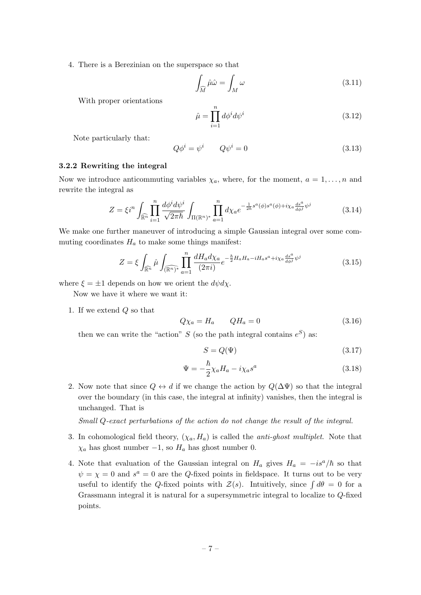<span id="page-7-0"></span>4. There is a Berezinian on the superspace so that

$$
\int_{\widehat{M}} \hat{\mu}\hat{\omega} = \int_M \omega \tag{3.11}
$$

With proper orientations

$$
\hat{\mu} = \prod_{i=1}^{n} d\phi^i d\psi^i \tag{3.12}
$$

Note particularly that:

$$
Q\phi^i = \psi^i \qquad Q\psi^i = 0 \tag{3.13}
$$

#### **3.2.2 Rewriting the integral**

Now we introduce anticommuting variables  $\chi_a$ , where, for the moment,  $a = 1, \ldots, n$  and rewrite the integral as

$$
Z = \xi i^n \int_{\widehat{\mathbb{R}^n}} \prod_{i=1}^n \frac{d\phi^i d\psi^i}{\sqrt{2\pi\hbar}} \int_{\Pi(\mathbb{R}^n)^*} \prod_{a=1}^n d\chi_a e^{-\frac{1}{2\hbar} s^a(\phi)s^a(\phi) + i\chi_a \frac{ds^a}{d\phi^j} \psi^j}
$$
(3.14)

We make one further maneuver of introducing a simple Gaussian integral over some commuting coordinates  $H_a$  to make some things manifest:

$$
Z = \xi \int_{\widehat{\mathbb{R}^n}} \widehat{\mu} \int_{\widehat{\mathbb{R}^n}^*} \prod_{a=1}^n \frac{dH_a d\chi_a}{(2\pi i)} e^{-\frac{\hbar}{2}H_a H_a - iH_a s^a + i\chi_a \frac{ds^a}{d\phi^j} \psi^j}
$$
(3.15)

where  $\xi = \pm 1$  depends on how we orient the  $d\psi d\chi$ .

Now we have it where we want it:

1. If we extend *Q* so that

$$
Q\chi_a = H_a \qquad QH_a = 0 \tag{3.16}
$$

then we can write the "action" *S* (so the path integral contains  $e^S$ ) as:

$$
S = Q(\Psi) \tag{3.17}
$$

$$
\Psi = -\frac{\hbar}{2} \chi_a H_a - i \chi_a s^a \tag{3.18}
$$

2. Now note that since  $Q \leftrightarrow d$  if we change the action by  $Q(\Delta \Psi)$  so that the integral over the boundary (in this case, the integral at infinity) vanishes, then the integral is unchanged. That is

*Small Q-exact perturbations of the action do not change the result of the integral.*

- 3. In cohomological field theory,  $(\chi_a, H_a)$  is called the *anti-ghost multiplet*. Note that  $\chi_a$  has ghost number *−*1, so  $H_a$  has ghost number 0.
- 4. Note that evaluation of the Gaussian integral on  $H_a$  gives  $H_a = -is^a/\hbar$  so that  $\psi = \chi = 0$  and  $s^a = 0$  are the *Q*-fixed points in fieldspace. It turns out to be very useful to identify the *Q*-fixed points with  $\mathcal{Z}(s)$ . Intuitively, since  $\int d\theta = 0$  for a Grassmann integral it is natural for a supersymmetric integral to localize to *Q*-fixed points.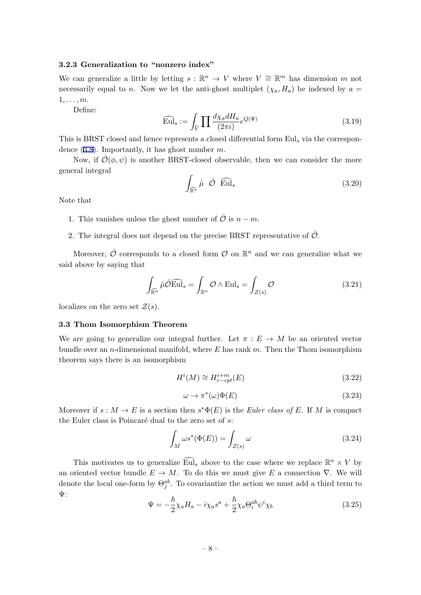## <span id="page-8-0"></span>**3.2.3 Generalization to "nonzero index"**

We can generalize a little by letting  $s : \mathbb{R}^n \to V$  where  $V \cong \mathbb{R}^m$  has dimension *m* not necessarily equal to *n*. Now we let the anti-ghost multiplet  $(\chi_a, H_a)$  be indexed by  $a =$ 1*, . . . , m*.

Define:

$$
\widehat{\mathrm{Eul}}_s := \int_{\widehat{V}} \prod \frac{d\chi_a dH_a}{(2\pi i)} e^{Q(\Psi)} \tag{3.19}
$$

This is BRST closed and hence represents a closed differential form Eul*<sup>s</sup>* via the correspondence (3.8). Importantly, it has ghost number *m*.

Now, if  $\hat{\mathcal{O}}(\phi, \psi)$  is another BRST-closed observable, then we can consider the more general integral

$$
\int_{\widehat{\mathbb{R}^n}} \widehat{\mu} \widehat{\mathcal{O}} \widehat{\mathrm{Eul}}_s \tag{3.20}
$$

Note that

- 1. This vanishes unless the ghost number of  $\hat{\mathcal{O}}$  is  $n m$ .
- 2. The integral does not depend on the precise BRST representative of  $\hat{\mathcal{O}}$ .

Moreover,  $\hat{\mathcal{O}}$  corresponds to a closed form  $\mathcal{O}$  on  $\mathbb{R}^n$  and we can generalize what we said above by saying that

$$
\int_{\widehat{\mathbb{R}^n}} \widehat{\mu} \widehat{\mathcal{O}} \widehat{\text{Eul}}_s = \int_{\mathbb{R}^n} \mathcal{O} \wedge \text{Eul}_s = \int_{\mathcal{Z}(s)} \mathcal{O}
$$
\n(3.21)

localizes on the zero set  $\mathcal{Z}(s)$ .

#### **3.3 Thom Isomorphism Theorem**

We are going to generalize our integral further. Let  $\pi : E \to M$  be an oriented vector bundle over an *n*-dimensional manifold, where *E* has rank *m*. Then the Thom isomorphism theorem says there is an isomorphism

$$
H^i(M) \cong H^{i+m}_{v-cpt}(E) \tag{3.22}
$$

$$
\omega \to \pi^*(\omega)\Phi(E) \tag{3.23}
$$

Moreover if  $s : M \to E$  is a section then  $s^*\Phi(E)$  is the *Euler class of E*. If *M* is compact the Euler class is Poincaré dual to the zero set of *s*:

$$
\int_{M} \omega s^*(\Phi(E)) = \int_{\mathcal{Z}(s)} \omega \tag{3.24}
$$

This motivates us to generalize  $\widehat{\mathrm{Eu}}_s$  above to the case where we replace  $\mathbb{R}^n \times V$  by an oriented vector bundle  $E \to M$ . To do this we must give E a connection  $\nabla$ . We will denote the local one-form by  $\Theta_j^{ab}$ . To covariantize the action we must add a third term to Ψ:

$$
\Psi = -\frac{\hbar}{2}\chi_a H_a - i\chi_a s^a + \frac{\hbar}{2}\chi_a \Theta_i^{ab} \psi^i \chi_b \tag{3.25}
$$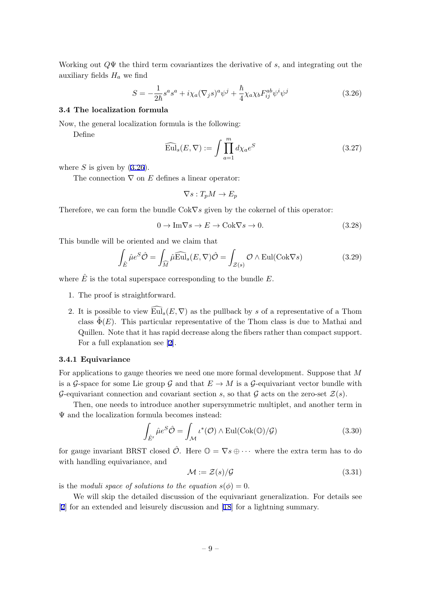<span id="page-9-0"></span>Working out *Q*Ψ the third term covariantizes the derivative of *s*, and integrating out the auxiliary fields  $H_a$  we find

$$
S = -\frac{1}{2\hbar} s^a s^a + i\chi_a (\nabla_j s)^a \psi^j + \frac{\hbar}{4} \chi_a \chi_b F_{ij}^{ab} \psi^i \psi^j \tag{3.26}
$$

#### **3.4 The localization formula**

Now, the general localization formula is the following:

Define

$$
\widehat{\mathrm{Eul}}_s(E,\nabla) := \int \prod_{a=1}^m d\chi_a e^S \tag{3.27}
$$

where  $S$  is given by  $(3.26)$ .

The connection *∇* on *E* defines a linear operator:

$$
\nabla s: T_p M \to E_p
$$

Therefore, we can form the bundle Cok*∇s* given by the cokernel of this operator:

$$
0 \to \text{Im}\nabla s \to E \to \text{Cok}\nabla s \to 0. \tag{3.28}
$$

This bundle will be oriented and we claim that

$$
\int_{\hat{E}} \hat{\mu} e^{S} \hat{\mathcal{O}} = \int_{\widehat{M}} \hat{\mu} \widehat{\text{Eul}}_{s}(E, \nabla) \hat{\mathcal{O}} = \int_{\mathcal{Z}(s)} \mathcal{O} \wedge \text{Eul}(\text{Cok}\nabla s)
$$
\n(3.29)

where  $\hat{E}$  is the total superspace corresponding to the bundle  $E$ .

- 1. The proof is straightforward.
- 2. It is possible to view  $\widehat{\mathrm{Eul}}_s(E,\nabla)$  as the pullback by *s* of a representative of a Thom class  $\Phi(E)$ . This particular representative of the Thom class is due to Mathai and Quillen. Note that it has rapid decrease along the fibers rather than compact support. For a full explanation see [2].

#### **3.4.1 Equivariance**

For applications to gauge theori[es](#page-34-0) we need one more formal development. Suppose that *M* is a *G*-space for some Lie group *G* and that  $E \to M$  is a *G*-equivariant vector bundle with *G*-equivariant connection and covariant section *s*, so that *G* acts on the zero-set  $\mathcal{Z}(s)$ .

Then, one needs to introduce another supersymmetric multiplet, and another term in Ψ and the localization formula becomes instead:

$$
\int_{\hat{E}'} \hat{\mu} e^{S} \hat{\mathcal{O}} = \int_{\mathcal{M}} \iota^{*}(\mathcal{O}) \wedge \mathrm{Eul}(\mathrm{Cok}(\mathbb{O})/\mathcal{G})
$$
\n(3.30)

for gauge invariant BRST closed  $\hat{\mathcal{O}}$ . Here  $\mathbb{O} = \nabla s \oplus \cdots$  where the extra term has to do with handling equivariance, and

$$
\mathcal{M} := \mathcal{Z}(s) / \mathcal{G} \tag{3.31}
$$

is the *moduli space of solutions to the equation*  $s(\phi) = 0$ .

We will skip the detailed discussion of the equivariant generalization. For details see [2] for an extended and leisurely discussion and [18] for a lightning summary.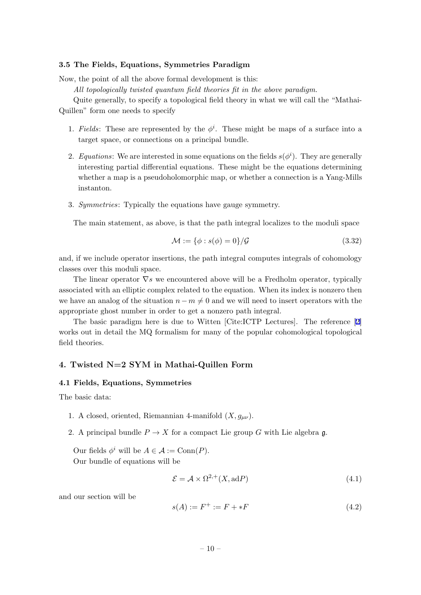#### <span id="page-10-0"></span>**3.5 The Fields, Equations, Symmetries Paradigm**

Now, the point of all the above formal development is this:

*All topologically twisted quantum field theories fit in the above paradigm.*

Quite generally, to specify a topological field theory in what we will call the "Mathai-Quillen" form one needs to specify

- 1. *Fields*: These are represented by the  $\phi^i$ . These might be maps of a surface into a target space, or connections on a principal bundle.
- 2. *Equations*: We are interested in some equations on the fields  $s(\phi^i)$ . They are generally interesting partial differential equations. These might be the equations determining whether a map is a pseudoholomorphic map, or whether a connection is a Yang-Mills instanton.
- 3. *Symmetries*: Typically the equations have gauge symmetry.

The main statement, as above, is that the path integral localizes to the moduli space

$$
\mathcal{M} := \{ \phi : s(\phi) = 0 \} / \mathcal{G}
$$
\n
$$
(3.32)
$$

and, if we include operator insertions, the path integral computes integrals of cohomology classes over this moduli space.

The linear operator *∇s* we encountered above will be a Fredholm operator, typically associated with an elliptic complex related to the equation. When its index is nonzero then we have an analog of the situation  $n - m \neq 0$  and we will need to insert operators with the appropriate ghost number in order to get a nonzero path integral.

The basic paradigm here is due to Witten [Cite:ICTP Lectures]. The reference [2] works out in detail the MQ formalism for many of the popular cohomological topological field theories.

## **4. Twisted N=2 SYM in Mathai-Quillen Form**

## **4.1 Fields, Equations, Symmetries**

The basic data:

- 1. A closed, oriented, Riemannian 4-manifold  $(X, q_{\mu\nu})$ .
- 2. A principal bundle  $P \to X$  for a compact Lie group G with Lie algebra g.

Our fields  $\phi^i$  will be  $A \in \mathcal{A} := \text{Conn}(P)$ . Our bundle of equations will be

$$
\mathcal{E} = \mathcal{A} \times \Omega^{2,+} (X, \text{ad}P) \tag{4.1}
$$

and our section will be

$$
s(A) := F^{+} := F + *F \tag{4.2}
$$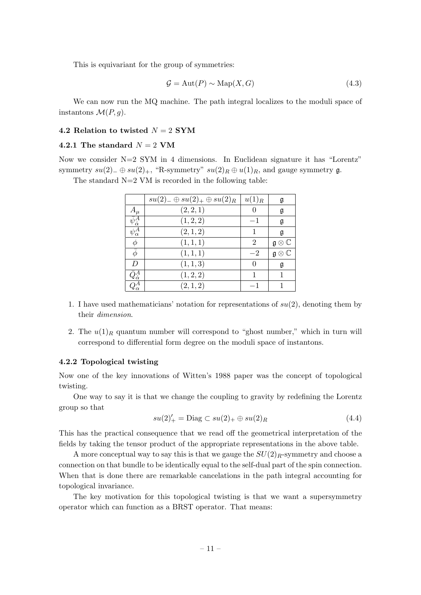<span id="page-11-0"></span>This is equivariant for the group of symmetries:

$$
\mathcal{G} = \text{Aut}(P) \sim \text{Map}(X, G) \tag{4.3}
$$

We can now run the MQ machine. The path integral localizes to the moduli space of instantons  $\mathcal{M}(P,g)$ .

## **4.2 Relation to twisted** *N* = 2 **SYM**

## **4.2.1 The standard**  $N = 2$  VM

Now we consider  $N=2$  SYM in 4 dimensions. In Euclidean signature it has "Lorentz" symmetry  $su(2)$ <sub>−</sub>  $\oplus su(2)$ <sub>+</sub>, "R-symmetry"  $su(2)_R \oplus u(1)_R$ , and gauge symmetry g.

The standard  $N=2$  VM is recorded in the following table:

|                               | $su(2)_-\oplus su(2)_+\oplus su(2)_R$ | $u(1)_R$       | g                               |
|-------------------------------|---------------------------------------|----------------|---------------------------------|
| $A_\mu$                       | (2, 2, 1)                             |                | g                               |
| $\bar{\psi}^A_{\dot{\alpha}}$ | (1, 2, 2)                             | $-1$           | $\mathfrak g$                   |
| $\psi^A_\alpha$               | (2,1,2)                               |                | $\mathfrak g$                   |
| $\phi$                        | (1, 1, 1)                             | $\overline{2}$ | $\mathfrak{g}\otimes\mathbb{C}$ |
| $\bar{\phi}$                  | (1, 1, 1)                             | $-2$           | $\mathfrak{g}\otimes\mathbb{C}$ |
| D                             | (1, 1, 3)                             | $\Omega$       | g                               |
| $Q^A_{\dot{\alpha}}$          | (1, 2, 2)                             |                |                                 |
| $Q^A_\alpha$                  | (2,1,2)                               | -1             |                                 |

- 1. I have used mathematicians' notation for representations of *su*(2), denoting them by their *dimension*.
- 2. The  $u(1)_R$  quantum number will correspond to "ghost number," which in turn will correspond to differential form degree on the moduli space of instantons.

## **4.2.2 Topological twisting**

Now one of the key innovations of Witten's 1988 paper was the concept of topological twisting.

One way to say it is that we change the coupling to gravity by redefining the Lorentz group so that

$$
su(2)'_{+} = \text{Diag} \subset su(2)_{+} \oplus su(2)_{R} \tag{4.4}
$$

This has the practical consequence that we read off the geometrical interpretation of the fields by taking the tensor product of the appropriate representations in the above table.

A more conceptual way to say this is that we gauge the  $SU(2)_R$ -symmetry and choose a connection on that bundle to be identically equal to the self-dual part of the spin connection. When that is done there are remarkable cancelations in the path integral accounting for topological invariance.

The key motivation for this topological twisting is that we want a supersymmetry operator which can function as a BRST operator. That means: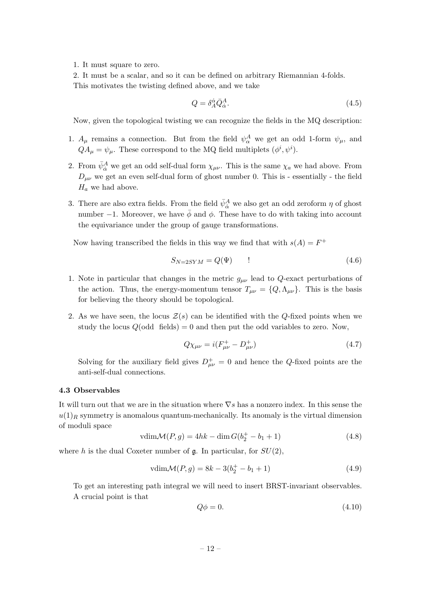<span id="page-12-0"></span>1. It must square to zero.

2. It must be a scalar, and so it can be defined on arbitrary Riemannian 4-folds. This motivates the twisting defined above, and we take

$$
Q = \delta_A^{\dot{\alpha}} \bar{Q}_{\dot{\alpha}}^A. \tag{4.5}
$$

Now, given the topological twisting we can recognize the fields in the MQ description:

- 1.  $A_{\mu}$  remains a connection. But from the field  $\psi_{\alpha}^{A}$  we get an odd 1-form  $\psi_{\mu}$ , and  $QA_{\mu} = \psi_{\mu}$ . These correspond to the MQ field multiplets  $(\phi^i, \psi^i)$ .
- 2. From  $\bar{\psi}^A_{\dot{\alpha}}$  we get an odd self-dual form  $\chi_{\mu\nu}$ . This is the same  $\chi_a$  we had above. From  $D_{\mu\nu}$  we get an even self-dual form of ghost number 0. This is - essentially - the field *H<sup>a</sup>* we had above.
- 3. There are also extra fields. From the field  $\bar{\psi}_{\dot{\alpha}}^{A}$  we also get an odd zeroform  $\eta$  of ghost number  $-1$ . Moreover, we have  $\bar{\phi}$  and  $\phi$ . These have to do with taking into account the equivariance under the group of gauge transformations.

Now having transcribed the fields in this way we find that with  $s(A) = F^+$ 

$$
S_{N=2SYM} = Q(\Psi) \tag{4.6}
$$

- 1. Note in particular that changes in the metric  $g_{\mu\nu}$  lead to  $Q$ -exact perturbations of the action. Thus, the energy-momentum tensor  $T_{\mu\nu} = \{Q, \Lambda_{\mu\nu}\}\.$  This is the basis for believing the theory should be topological.
- 2. As we have seen, the locus  $\mathcal{Z}(s)$  can be identified with the *Q*-fixed points when we study the locus  $Q(\text{odd}$  fields) = 0 and then put the odd variables to zero. Now,

$$
Q\chi_{\mu\nu} = i(F_{\mu\nu}^+ - D_{\mu\nu}^+) \tag{4.7}
$$

Solving for the auxiliary field gives  $D^+_{\mu\nu} = 0$  and hence the *Q*-fixed points are the anti-self-dual connections.

## **4.3 Observables**

It will turn out that we are in the situation where *∇s* has a nonzero index. In this sense the  $u(1)<sub>R</sub>$  symmetry is anomalous quantum-mechanically. Its anomaly is the virtual dimension of moduli space

$$
vdim \mathcal{M}(P, g) = 4hk - \dim G(b_2^+ - b_1 + 1)
$$
\n(4.8)

where *h* is the dual Coxeter number of  $\mathfrak{g}$ . In particular, for  $SU(2)$ ,

$$
vdim\mathcal{M}(P,g) = 8k - 3(b_2^+ - b_1 + 1)
$$
\n(4.9)

To get an interesting path integral we will need to insert BRST-invariant observables. A crucial point is that

$$
Q\phi = 0.\t\t(4.10)
$$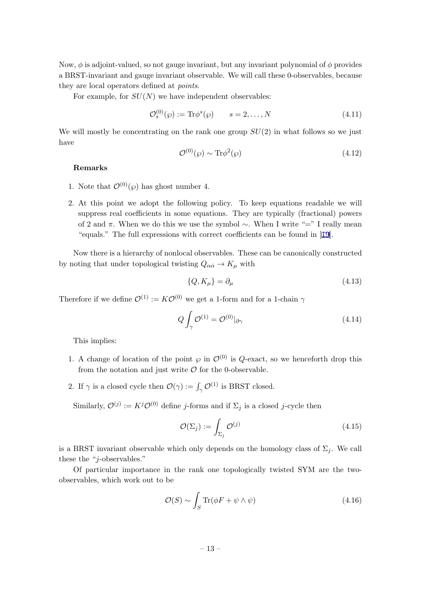<span id="page-13-0"></span>Now, *ϕ* is adjoint-valued, so not gauge invariant, but any invariant polynomial of *ϕ* provides a BRST-invariant and gauge invariant observable. We will call these 0-observables, because they are local operators defined at *points*.

For example, for *SU*(*N*) we have independent observables:

$$
\mathcal{O}_s^{(0)}(\wp) := \text{Tr}\phi^s(\wp) \qquad s = 2, \dots, N \tag{4.11}
$$

We will mostly be concentrating on the rank one group *SU*(2) in what follows so we just have

$$
\mathcal{O}^{(0)}(\wp) \sim \text{Tr}\phi^2(\wp) \tag{4.12}
$$

#### **Remarks**

- 1. Note that  $\mathcal{O}^{(0)}(\wp)$  has ghost number 4.
- 2. At this point we adopt the following policy. To keep equations readable we will suppress real coefficients in some equations. They are typically (fractional) powers of 2 and *π*. When we do this we use the symbol *∼*. When I write "=" I really mean "equals." The full expressions with correct coefficients can be found in [19].

Now there is a hierarchy of nonlocal observables. These can be canonically constructed by noting that under topological twisting  $Q_{\alpha\dot{\alpha}} \rightarrow K_{\mu}$  with

$$
\{Q, K_{\mu}\} = \partial_{\mu} \tag{4.13}
$$

Therefore if we define  $\mathcal{O}^{(1)} := K\mathcal{O}^{(0)}$  we get a 1-form and for a 1-chain  $\gamma$ 

$$
Q \int_{\gamma} \mathcal{O}^{(1)} = \mathcal{O}^{(0)}|_{\partial \gamma} \tag{4.14}
$$

This implies:

- 1. A change of location of the point  $\varphi$  in  $\mathcal{O}^{(0)}$  is *Q*-exact, so we henceforth drop this from the notation and just write  $\mathcal O$  for the 0-observable.
- 2. If  $\gamma$  is a closed cycle then  $\mathcal{O}(\gamma) := \int_{\gamma} \mathcal{O}^{(1)}$  is BRST closed.

Similarly,  $\mathcal{O}^{(j)} := K^j \mathcal{O}^{(0)}$  define *j*-forms and if  $\Sigma_j$  is a closed *j*-cycle then

$$
\mathcal{O}(\Sigma_j) := \int_{\Sigma_j} \mathcal{O}^{(j)} \tag{4.15}
$$

is a BRST invariant observable which only depends on the homology class of  $\Sigma_i$ . We call these the "*j*-observables."

Of particular importance in the rank one topologically twisted SYM are the twoobservables, which work out to be

$$
\mathcal{O}(S) \sim \int_{S} \text{Tr}(\phi F + \psi \wedge \psi) \tag{4.16}
$$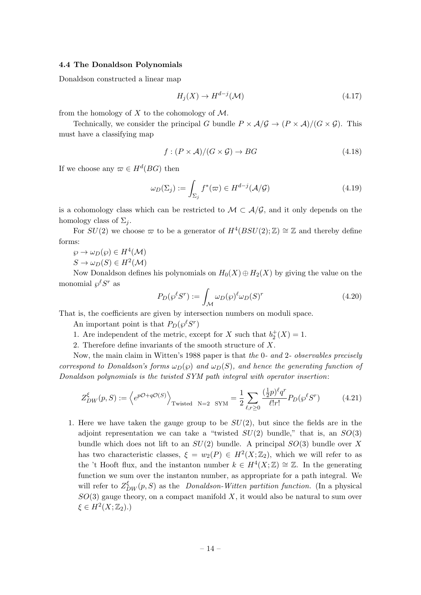## <span id="page-14-0"></span>**4.4 The Donaldson Polynomials**

Donaldson constructed a linear map

$$
H_j(X) \to H^{d-j}(\mathcal{M})
$$
\n<sup>(4.17)</sup>

from the homology of *X* to the cohomology of *M*.

Technically, we consider the principal *G* bundle  $P \times A/\mathcal{G} \rightarrow (P \times A)/(G \times \mathcal{G})$ . This must have a classifying map

$$
f: (P \times \mathcal{A})/(G \times \mathcal{G}) \to BG \tag{4.18}
$$

If we choose any  $\varpi \in H^d(BG)$  then

$$
\omega_D(\Sigma_j) := \int_{\Sigma_j} f^*(\varpi) \in H^{d-j}(\mathcal{A}/\mathcal{G})
$$
\n(4.19)

is a cohomology class which can be restricted to  $M \subset \mathcal{A}/\mathcal{G}$ , and it only depends on the homology class of  $\Sigma_i$ .

For  $SU(2)$  we choose  $\varpi$  to be a generator of  $H^4(BSU(2);\mathbb{Z}) \cong \mathbb{Z}$  and thereby define forms:

$$
\wp \to \omega_D(\wp) \in H^4(\mathcal{M})
$$
  

$$
S \to \omega_D(S) \in H^2(\mathcal{M})
$$

Now Donaldson defines his polynomials on  $H_0(X) \oplus H_2(X)$  by giving the value on the monomial  $\wp^{\ell}S^r$  as

$$
P_D(\wp^{\ell} S^r) := \int_{\mathcal{M}} \omega_D(\wp)^{\ell} \omega_D(S)^r \tag{4.20}
$$

That is, the coefficients are given by intersection numbers on moduli space.

An important point is that  $P_D(\wp^{\ell} S^r)$ 

- 1. Are independent of the metric, except for *X* such that  $b_2^+(X) = 1$ .
- 2. Therefore define invariants of the smooth structure of *X*.

Now, the main claim in Witten's 1988 paper is that *the* 0*- and* 2*- observables precisely correspond to Donaldson's forms*  $\omega_D(\wp)$  *and*  $\omega_D(S)$ *, and hence the generating function of Donaldson polynomials is the twisted SYM path integral with operator insertion*:

$$
Z_{DW}^{\xi}(p,S) := \left\langle e^{p\mathcal{O}+q\mathcal{O}(S)} \right\rangle_{\text{Twisted } N=2 \text{ SYM}} = \frac{1}{2} \sum_{\ell,r \ge 0} \frac{(\frac{1}{2}p)^{\ell} q^r}{\ell!r!} P_D(\wp^{\ell} S^r)
$$
(4.21)

1. Here we have taken the gauge group to be *SU*(2), but since the fields are in the adjoint representation we can take a "twisted  $SU(2)$  bundle," that is, an  $SO(3)$ bundle which does not lift to an *SU*(2) bundle. A principal *SO*(3) bundle over *X* has two characteristic classes,  $\xi = w_2(P) \in H^2(X; \mathbb{Z}_2)$ , which we will refer to as the 't Hooft flux, and the instanton number  $k \in H^4(X;\mathbb{Z}) \cong \mathbb{Z}$ . In the generating function we sum over the instanton number, as appropriate for a path integral. We will refer to  $Z_{DW}^{\xi}(p, S)$  as the *Donaldson-Witten partition function*. (In a physical *SO*(3) gauge theory, on a compact manifold *X*, it would also be natural to sum over  $\xi \in H^2(X; \mathbb{Z}_2)$ .)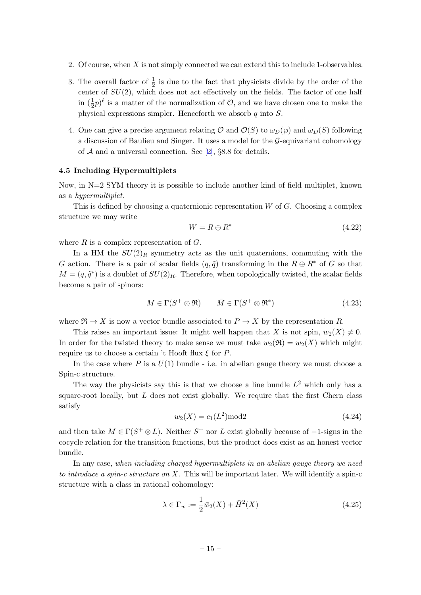- <span id="page-15-0"></span>2. Of course, when *X* is not simply connected we can extend this to include 1-observables.
- 3. The overall factor of  $\frac{1}{2}$  is due to the fact that physicists divide by the order of the center of *SU*(2), which does not act effectively on the fields. The factor of one half in  $(\frac{1}{2}p)^{\ell}$  is a matter of the normalization of  $\mathcal{O}$ , and we have chosen one to make the physical expressions simpler. Henceforth we absorb *q* into *S*.
- 4. One can give a precise argument relating  $\mathcal{O}$  and  $\mathcal{O}(S)$  to  $\omega_D(\wp)$  and  $\omega_D(S)$  following a discussion of Baulieu and Singer. It uses a model for the *G*-equivariant cohomology of *A* and a universal connection. See [2], *§*8.8 for details.

#### **4.5 Including Hypermultiplets**

Now, in N=2 SYM theory it is possible to [in](#page-34-0)clude another kind of field multiplet, known as a *hypermultiplet*.

This is defined by choosing a quaternionic representation *W* of *G*. Choosing a complex structure we may write

$$
W = R \oplus R^* \tag{4.22}
$$

where *R* is a complex representation of *G*.

In a HM the  $SU(2)_R$  symmetry acts as the unit quaternions, commuting with the *G* action. There is a pair of scalar fields  $(q, \tilde{q})$  transforming in the  $R \oplus R^*$  of *G* so that  $M = (q, \tilde{q}^*)$  is a doublet of  $SU(2)_R$ . Therefore, when topologically twisted, the scalar fields become a pair of spinors:

$$
M \in \Gamma(S^+ \otimes \mathfrak{R}) \qquad \bar{M} \in \Gamma(S^+ \otimes \mathfrak{R}^*) \tag{4.23}
$$

where  $\mathfrak{R} \to X$  is now a vector bundle associated to  $P \to X$  by the representation R.

This raises an important issue: It might well happen that *X* is not spin,  $w_2(X) \neq 0$ . In order for the twisted theory to make sense we must take  $w_2(\mathfrak{R}) = w_2(X)$  which might require us to choose a certain 't Hooft flux *ξ* for *P*.

In the case where  $P$  is a  $U(1)$  bundle - i.e. in abelian gauge theory we must choose a Spin-c structure.

The way the physicists say this is that we choose a line bundle  $L^2$  which only has a square-root locally, but *L* does not exist globally. We require that the first Chern class satisfy

$$
w_2(X) = c_1(L^2) \text{mod} 2 \tag{4.24}
$$

and then take  $M \in \Gamma(S^+ \otimes L)$ . Neither  $S^+$  nor  $L$  exist globally because of  $-1$ -signs in the cocycle relation for the transition functions, but the product does exist as an honest vector bundle.

In any case, *when including charged hypermultiplets in an abelian gauge theory we need to introduce a spin-c structure on X.* This will be important later. We will identify a spin-c structure with a class in rational cohomology:

$$
\lambda \in \Gamma_w := \frac{1}{2}\bar{w}_2(X) + \bar{H}^2(X) \tag{4.25}
$$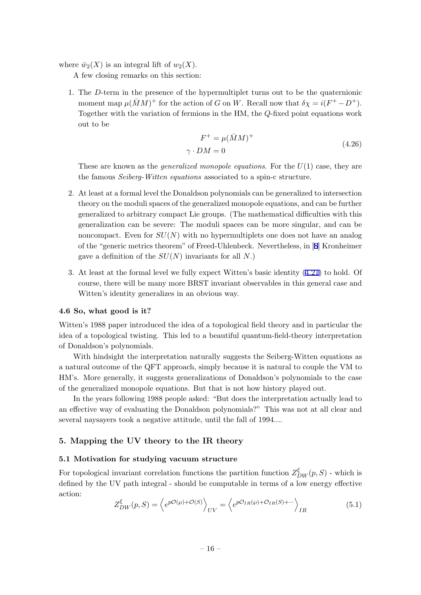<span id="page-16-0"></span>where  $\bar{w}_2(X)$  is an integral lift of  $w_2(X)$ .

A few closing remarks on this section:

1. The *D*-term in the presence of the hypermultiplet turns out to be the quaternionic moment map  $\mu(\bar{M}M)^+$  for the action of *G* on *W*. Recall now that  $\delta \chi = i(F^+ - D^+)$ . Together with the variation of fermions in the HM, the *Q*-fixed point equations work out to be

$$
F^{+} = \mu(\bar{M}M)^{+}
$$
  

$$
\gamma \cdot DM = 0
$$
 (4.26)

These are known as the *generalized monopole equations*. For the *U*(1) case, they are the famous *Seiberg-Witten equations* associated to a spin-c structure.

- 2. At least at a formal level the Donaldson polynomials can be generalized to intersection theory on the moduli spaces of the generalized monopole equations, and can be further generalized to arbitrary compact Lie groups. (The mathematical difficulties with this generalization can be severe: The moduli spaces can be more singular, and can be noncompact. Even for *SU*(*N*) with no hypermultiplets one does not have an analog of the "generic metrics theorem" of Freed-Uhlenbeck. Nevertheless, in [8] Kronheimer gave a definition of the *SU*(*N*) invariants for all *N*.)
- 3. At least at the formal level we fully expect Witten's basic identity (4.21) to hold. Of course, there will be many more BRST invariant observables in this g[en](#page-35-0)eral case and Witten's identity generalizes in an obvious way.

## **4.6 So, what good is it?**

Witten's 1988 paper introduced the idea of a topological field theory and in particular the idea of a topological twisting. This led to a beautiful quantum-field-theory interpretation of Donaldson's polynomials.

With hindsight the interpretation naturally suggests the Seiberg-Witten equations as a natural outcome of the QFT approach, simply because it is natural to couple the VM to HM's. More generally, it suggests generalizations of Donaldson's polynomials to the case of the generalized monopole equations. But that is not how history played out.

In the years following 1988 people asked: "But does the interpretation actually lead to an effective way of evaluating the Donaldson polynomials?" This was not at all clear and several naysayers took a negative attitude, until the fall of 1994....

## **5. Mapping the UV theory to the IR theory**

#### **5.1 Motivation for studying vacuum structure**

For topological invariant correlation functions the partition function  $Z_{DW}^{\xi}(p, S)$  - which is defined by the UV path integral - should be computable in terms of a low energy effective action:

$$
Z_{DW}^{\xi}(p,S) = \left\langle e^{p\mathcal{O}(\wp) + \mathcal{O}(S)} \right\rangle_{UV} = \left\langle e^{p\mathcal{O}_{IR}(\wp) + \mathcal{O}_{IR}(S) + \cdots} \right\rangle_{IR}
$$
(5.1)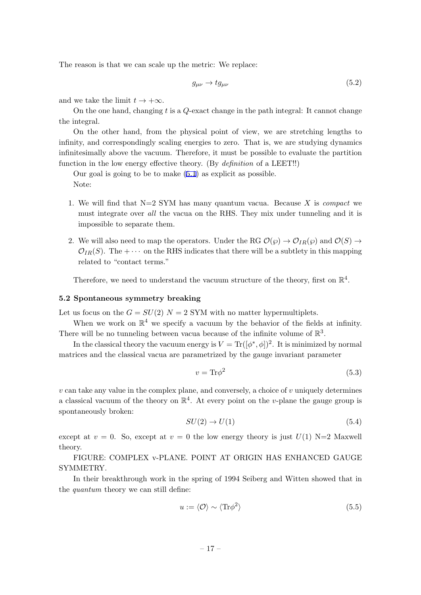<span id="page-17-0"></span>The reason is that we can scale up the metric: We replace:

$$
g_{\mu\nu} \to t g_{\mu\nu} \tag{5.2}
$$

and we take the limit  $t \to +\infty$ .

On the one hand, changing *t* is a *Q*-exact change in the path integral: It cannot change the integral.

On the other hand, from the physical point of view, we are stretching lengths to infinity, and correspondingly scaling energies to zero. That is, we are studying dynamics infinitesimally above the vacuum. Therefore, it must be possible to evaluate the partition function in the low energy effective theory. (By *definition* of a LEET!!)

Our goal is going to be to make (5.1) as explicit as possible. Note:

- 1. We will find that N=2 SYM has many quantum vacua. Because *X* is *compact* we must integrate over *all* the vac[ua o](#page-16-0)n the RHS. They mix under tunneling and it is impossible to separate them.
- 2. We will also need to map the operators. Under the RG  $\mathcal{O}(\wp) \to \mathcal{O}_{IR}(\wp)$  and  $\mathcal{O}(S) \to$  $\mathcal{O}_{IR}(S)$ . The +  $\cdots$  on the RHS indicates that there will be a subtlety in this mapping related to "contact terms."

Therefore, we need to understand the vacuum structure of the theory, first on  $\mathbb{R}^4$ .

#### **5.2 Spontaneous symmetry breaking**

Let us focus on the  $G = SU(2)$   $N = 2$  SYM with no matter hypermultiplets.

When we work on  $\mathbb{R}^4$  we specify a vacuum by the behavior of the fields at infinity. There will be no tunneling between vacua because of the infinite volume of  $\mathbb{R}^3$ .

In the classical theory the vacuum energy is  $V = \text{Tr}([\phi^*, \phi])^2$ . It is minimized by normal matrices and the classical vacua are parametrized by the gauge invariant parameter

$$
v = \text{Tr}\phi^2 \tag{5.3}
$$

 $v \text{ can take any value in the complex plane, and conversely, a choice of  $v \text{ uniquely determines}$$ a classical vacuum of the theory on  $\mathbb{R}^4$ . At every point on the *v*-plane the gauge group is spontaneously broken:

$$
SU(2) \to U(1) \tag{5.4}
$$

except at  $v = 0$ . So, except at  $v = 0$  the low energy theory is just  $U(1)$  N=2 Maxwell theory.

FIGURE: COMPLEX v-PLANE. POINT AT ORIGIN HAS ENHANCED GAUGE SYMMETRY.

In their breakthrough work in the spring of 1994 Seiberg and Witten showed that in the *quantum* theory we can still define:

$$
u := \langle \mathcal{O} \rangle \sim \langle \text{Tr}\phi^2 \rangle \tag{5.5}
$$

$$
-17-
$$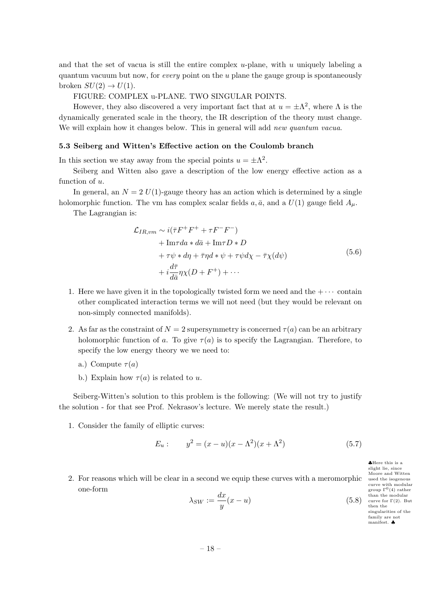<span id="page-18-0"></span>and that the set of vacua is still the entire complex *u*-plane, with *u* uniquely labeling a quantum vacuum but now, for *every* point on the *u* plane the gauge group is spontaneously broken  $SU(2) \rightarrow U(1)$ .

FIGURE: COMPLEX u-PLANE. TWO SINGULAR POINTS.

However, they also discovered a very important fact that at  $u = \pm \Lambda^2$ , where  $\Lambda$  is the dynamically generated scale in the theory, the IR description of the theory must change. We will explain how it changes below. This in general will add *new quantum vacua*.

#### **5.3 Seiberg and Witten's Effective action on the Coulomb branch**

In this section we stay away from the special points  $u = \pm \Lambda^2$ .

Seiberg and Witten also gave a description of the low energy effective action as a function of *u*.

In general, an  $N = 2 U(1)$ -gauge theory has an action which is determined by a single holomorphic function. The vm has complex scalar fields  $a, \bar{a}$ , and a  $U(1)$  gauge field  $A_\mu$ .

The Lagrangian is:

$$
\mathcal{L}_{IR,vm} \sim i(\bar{\tau}F^+F^+ + \tau F^- F^-) \n+ \text{Im}\tau da * d\bar{a} + \text{Im}\tau D * D \n+ \tau \psi * d\eta + \bar{\tau}\eta d * \psi + \tau \psi d\chi - \bar{\tau}\chi(d\psi) \n+ i\frac{d\bar{\tau}}{d\bar{a}}\eta \chi(D + F^+) + \cdots
$$
\n(5.6)

- 1. Here we have given it in the topologically twisted form we need and the  $+ \cdots$  contain other complicated interaction terms we will not need (but they would be relevant on non-simply connected manifolds).
- 2. As far as the constraint of  $N = 2$  supersymmetry is concerned  $\tau(a)$  can be an arbitrary holomorphic function of *a*. To give  $\tau(a)$  is to specify the Lagrangian. Therefore, to specify the low energy theory we we need to:
	- a.) Compute  $\tau(a)$
	- b.) Explain how  $\tau(a)$  is related to *u*.

Seiberg-Witten's solution to this problem is the following: (We will not try to justify the solution - for that see Prof. Nekrasov's lecture. We merely state the result.)

1. Consider the family of elliptic curves:

$$
E_u: \t y^2 = (x - u)(x - \Lambda^2)(x + \Lambda^2) \t (5.7)
$$

2. For reasons which will be clear in a second we equip these curves with a meromorphic one-form

 $\lambda_{SW} := \frac{dx}{dt}$  $\frac{uv}{y}(x-u)$  (5.8)

*♣*Here this is a slight lie, since Moore and Witten used the isogenous curve with modular group  $\Gamma^{0}(4)$  rather than the modular curve for Γ(2). But then the singularities of the family are not manifest. *♣*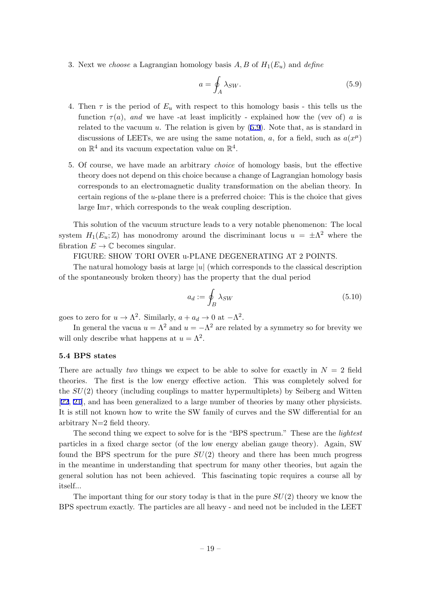<span id="page-19-0"></span>3. Next we *choose* a Lagrangian homology basis *A, B* of *H*1(*Eu*) and *define*

$$
a = \oint_{A} \lambda_{SW}.\tag{5.9}
$$

- 4. Then  $\tau$  is the period of  $E_u$  with respect to this homology basis this tells us the function  $\tau(a)$ , and we have -at least implicitly - explained how the (vev of) a is related to the vacuum *u*. The relation is given by (5.9). Note that, as is standard in discussions of LEETs, we are using the same notation, *a*, for a field, such as  $a(x^{\mu})$ on  $\mathbb{R}^4$  and its vacuum expectation value on  $\mathbb{R}^4$ .
- 5. Of course, we have made an arbitrary *choice* of homology basis, but the effective theory does not depend on this choice because a change of Lagrangian homology basis corresponds to an electromagnetic duality transformation on the abelian theory. In certain regions of the *u*-plane there is a preferred choice: This is the choice that gives large Im $\tau$ , which corresponds to the weak coupling description.

This solution of the vacuum structure leads to a very notable phenomenon: The local system  $H_1(E_u; \mathbb{Z})$  has monodromy around the discriminant locus  $u = \pm \Lambda^2$  where the fibration  $E \to \mathbb{C}$  becomes singular.

FIGURE: SHOW TORI OVER u-PLANE DEGENERATING AT 2 POINTS.

The natural homology basis at large *|u|* (which corresponds to the classical description of the spontaneously broken theory) has the property that the dual period

$$
a_d := \oint_B \lambda_{SW} \tag{5.10}
$$

goes to zero for  $u \to \Lambda^2$ . Similarly,  $a + a_d \to 0$  at  $-\Lambda^2$ .

In general the vacua  $u = \Lambda^2$  and  $u = -\Lambda^2$  are related by a symmetry so for brevity we will only describe what happens at  $u = \Lambda^2$ .

#### **5.4 BPS states**

There are actually *two* things we expect to be able to solve for exactly in  $N = 2$  field theories. The first is the low energy effective action. This was completely solved for the *SU*(2) theory (including couplings to matter hypermultiplets) by Seiberg and Witten [22, 21], and has been generalized to a large number of theories by many other physicists. It is still not known how to write the SW family of curves and the SW differential for an arbitrary N=2 field theory.

[Th](#page-35-0)e second thing we expect to solve for is the "BPS spectrum." These are the *lightest* particles in a fixed charge sector (of the low energy abelian gauge theory). Again, SW found the BPS spectrum for the pure *SU*(2) theory and there has been much progress in the meantime in understanding that spectrum for many other theories, but again the general solution has not been achieved. This fascinating topic requires a course all by itself...

The important thing for our story today is that in the pure *SU*(2) theory we know the BPS spectrum exactly. The particles are all heavy - and need not be included in the LEET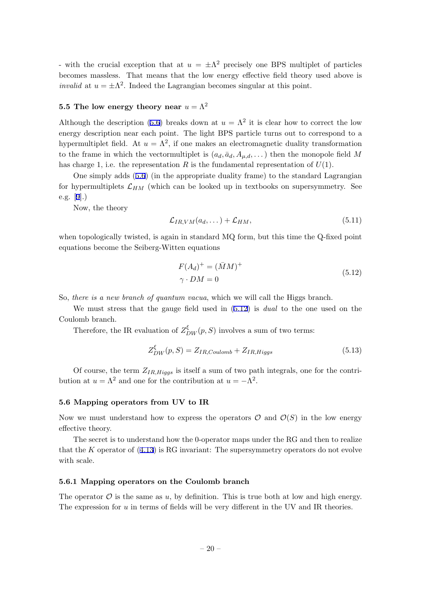<span id="page-20-0"></span>- with the crucial exception that at  $u = \pm \Lambda^2$  precisely one BPS multiplet of particles becomes massless. That means that the low energy effective field theory used above is *invalid* at  $u = \pm \Lambda^2$ . Indeed the Lagrangian becomes singular at this point.

## **5.5 The low energy theory near**  $u = \Lambda^2$

Although the description (5.6) breaks down at  $u = \Lambda^2$  it is clear how to correct the low energy description near each point. The light BPS particle turns out to correspond to a hypermultiplet field. At  $u = \Lambda^2$ , if one makes an electromagnetic duality transformation to the frame in which the [vec](#page-18-0)tormultiplet is  $(a_d, \bar{a}_d, A_{\mu,d}, \dots)$  then the monopole field M has charge 1, i.e. the representation *R* is the fundamental representation of  $U(1)$ .

One simply adds (5.6) (in the appropriate duality frame) to the standard Lagrangian for hypermultiplets  $\mathcal{L}_{HM}$  (which can be looked up in textbooks on supersymmetry. See e.g. [9].)

Now, the theory

$$
\mathcal{L}_{IR,VM}(a_d,\dots) + \mathcal{L}_{HM},\tag{5.11}
$$

whe[n t](#page-35-0)opologically twisted, is again in standard MQ form, but this time the Q-fixed point equations become the Seiberg-Witten equations

$$
F(A_d)^+ = (\bar{M}M)^+ \n\gamma \cdot DM = 0
$$
\n(5.12)

So, *there is a new branch of quantum vacua*, which we will call the Higgs branch.

We must stress that the gauge field used in (5.12) is *dual* to the one used on the Coulomb branch.

Therefore, the IR evaluation of  $Z_{DW}^{\xi}(p, S)$  involves a sum of two terms:

$$
Z_{DW}^{\xi}(p,S) = Z_{IR,Coulomb} + Z_{IR,Higgs}
$$
\n(5.13)

Of course, the term *ZIR,Higgs* is itself a sum of two path integrals, one for the contribution at  $u = \Lambda^2$  and one for the contribution at  $u = -\Lambda^2$ .

#### **5.6 Mapping operators from UV to IR**

Now we must understand how to express the operators  $\mathcal{O}$  and  $\mathcal{O}(S)$  in the low energy effective theory.

The secret is to understand how the 0-operator maps under the RG and then to realize that the *K* operator of (4.13) is RG invariant: The supersymmetry operators do not evolve with scale.

#### **5.6.1 Mapping opera[tors](#page-13-0) on the Coulomb branch**

The operator  $\mathcal O$  is the same as  $u$ , by definition. This is true both at low and high energy. The expression for *u* in terms of fields will be very different in the UV and IR theories.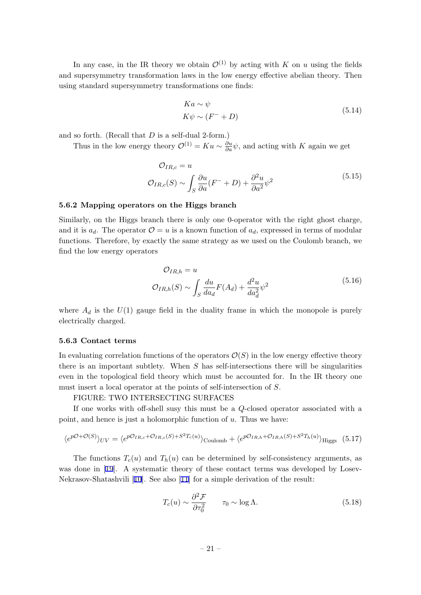<span id="page-21-0"></span>In any case, in the IR theory we obtain  $\mathcal{O}^{(1)}$  by acting with *K* on *u* using the fields and supersymmetry transformation laws in the low energy effective abelian theory. Then using standard supersymmetry transformations one finds:

$$
Ka \sim \psi
$$
  
\n
$$
K\psi \sim (F^- + D)
$$
\n(5.14)

and so forth. (Recall that *D* is a self-dual 2-form.)

Thus in the low energy theory  $\mathcal{O}^{(1)} = Ku \sim \frac{\partial u}{\partial a}\psi$ , and acting with *K* again we get

$$
\mathcal{O}_{IR,c} = u
$$
  

$$
\mathcal{O}_{IR,c}(S) \sim \int_{S} \frac{\partial u}{\partial a} (F^- + D) + \frac{\partial^2 u}{\partial a^2} \psi^2
$$
 (5.15)

#### **5.6.2 Mapping operators on the Higgs branch**

Similarly, on the Higgs branch there is only one 0-operator with the right ghost charge, and it is  $a_d$ . The operator  $\mathcal{O} = u$  is a known function of  $a_d$ , expressed in terms of modular functions. Therefore, by exactly the same strategy as we used on the Coulomb branch, we find the low energy operators

$$
\mathcal{O}_{IR,h} = u
$$
  

$$
\mathcal{O}_{IR,h}(S) \sim \int_{S} \frac{du}{da_d} F(A_d) + \frac{d^2 u}{da_d^2} \psi^2
$$
 (5.16)

where  $A_d$  is the  $U(1)$  gauge field in the duality frame in which the monopole is purely electrically charged.

#### **5.6.3 Contact terms**

In evaluating correlation functions of the operators  $\mathcal{O}(S)$  in the low energy effective theory there is an important subtlety. When *S* has self-intersections there will be singularities even in the topological field theory which must be accounted for. In the IR theory one must insert a local operator at the points of self-intersection of *S*.

## FIGURE: TWO INTERSECTING SURFACES

If one works with off-shell susy this must be a *Q*-closed operator associated with a point, and hence is just a holomorphic function of *u*. Thus we have:

$$
\langle e^{p\mathcal{O}+\mathcal{O}(S)} \rangle_{UV} = \langle e^{p\mathcal{O}_{IR,c}+\mathcal{O}_{IR,c}(S)+S^2T_c(u)} \rangle_{\text{Coulomb}} + \langle e^{p\mathcal{O}_{IR,h}+\mathcal{O}_{IR,h}(S)+S^2T_h(u)} \rangle_{\text{Higgs}} \tag{5.17}
$$

The functions  $T_c(u)$  and  $T_h(u)$  can be determined by self-consistency arguments, as was done in [19]. A systematic theory of these contact terms was developed by Losev-Nekrasov-Shatashvili [10]. See also [11] for a simple derivation of the result:

$$
T_c(u) \sim \frac{\partial^2 \mathcal{F}}{\partial \tau_0^2} \qquad \tau_0 \sim \log \Lambda. \tag{5.18}
$$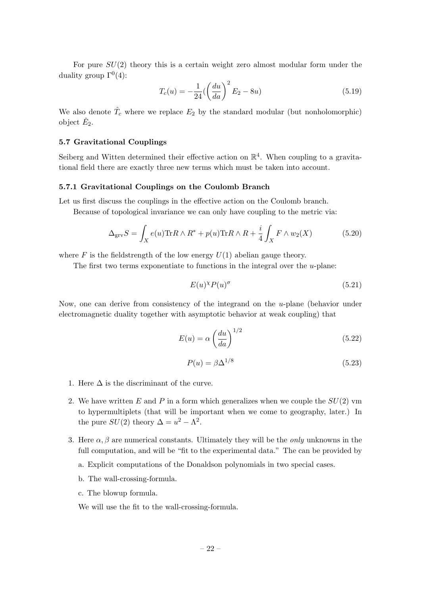<span id="page-22-0"></span>For pure  $SU(2)$  theory this is a certain weight zero almost modular form under the duality group  $\Gamma^{0}(4)$ :

$$
T_c(u) = -\frac{1}{24} \left( \left( \frac{du}{da} \right)^2 E_2 - 8u \right) \tag{5.19}
$$

We also denote  $\hat{T}_c$  where we replace  $E_2$  by the standard modular (but nonholomorphic) object  $\hat{E}_2$ .

## **5.7 Gravitational Couplings**

Seiberg and Witten determined their effective action on  $\mathbb{R}^4$ . When coupling to a gravitational field there are exactly three new terms which must be taken into account.

#### **5.7.1 Gravitational Couplings on the Coulomb Branch**

Let us first discuss the couplings in the effective action on the Coulomb branch.

Because of topological invariance we can only have coupling to the metric via:

$$
\Delta_{\rm grv} S = \int_X e(u) \text{Tr} R \wedge R^* + p(u) \text{Tr} R \wedge R + \frac{i}{4} \int_X F \wedge w_2(X) \tag{5.20}
$$

where  $F$  is the fieldstrength of the low energy  $U(1)$  abelian gauge theory.

The first two terms exponentiate to functions in the integral over the *u*-plane:

$$
E(u)^{\chi}P(u)^{\sigma} \tag{5.21}
$$

Now, one can derive from consistency of the integrand on the *u*-plane (behavior under electromagnetic duality together with asymptotic behavior at weak coupling) that

$$
E(u) = \alpha \left(\frac{du}{da}\right)^{1/2} \tag{5.22}
$$

$$
P(u) = \beta \Delta^{1/8} \tag{5.23}
$$

- 1. Here  $\Delta$  is the discriminant of the curve.
- 2. We have written *E* and *P* in a form which generalizes when we couple the *SU*(2) vm to hypermultiplets (that will be important when we come to geography, later.) In the pure  $SU(2)$  theory  $\Delta = u^2 - \Lambda^2$ .
- 3. Here  $\alpha, \beta$  are numerical constants. Ultimately they will be the *only* unknowns in the full computation, and will be "fit to the experimental data." The can be provided by
	- a. Explicit computations of the Donaldson polynomials in two special cases.
	- b. The wall-crossing-formula.
	- c. The blowup formula.

We will use the fit to the wall-crossing-formula.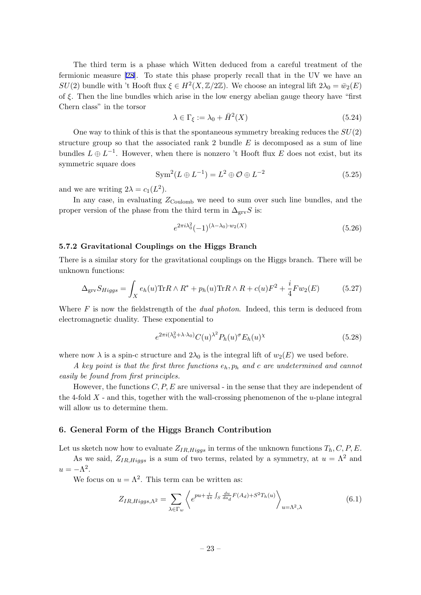<span id="page-23-0"></span>The third term is a phase which Witten deduced from a careful treatment of the fermionic measure [28]. To state this phase properly recall that in the UV we have an *SU*(2) bundle with 't Hooft flux  $\xi \in H^2(X, \mathbb{Z}/2\mathbb{Z})$ . We choose an integral lift  $2\lambda_0 = \bar{w}_2(E)$ of *ξ*. Then the line bundles which arise in the low energy abelian gauge theory have "first Chern class" in the [tor](#page-35-0)sor

$$
\lambda \in \Gamma_{\xi} := \lambda_0 + \bar{H}^2(X) \tag{5.24}
$$

One way to think of this is that the spontaneous symmetry breaking reduces the *SU*(2) structure group so that the associated rank 2 bundle *E* is decomposed as a sum of line bundles  $L \oplus L^{-1}$ . However, when there is nonzero 't Hooft flux *E* does not exist, but its symmetric square does

$$
\text{Sym}^2(L \oplus L^{-1}) = L^2 \oplus \mathcal{O} \oplus L^{-2} \tag{5.25}
$$

and we are writing  $2\lambda = c_1(L^2)$ .

In any case, in evaluating  $Z_{\text{Coulomb}}$  we need to sum over such line bundles, and the proper version of the phase from the third term in  $\Delta_{\rm grv} S$  is:

$$
e^{2\pi i \lambda_0^2} (-1)^{(\lambda - \lambda_0) \cdot w_2(X)} \tag{5.26}
$$

## **5.7.2 Gravitational Couplings on the Higgs Branch**

There is a similar story for the gravitational couplings on the Higgs branch. There will be unknown functions:

$$
\Delta_{\rm grv} S_{Higgs} = \int_X e_h(u) \text{Tr} R \wedge R^* + p_h(u) \text{Tr} R \wedge R + c(u) F^2 + \frac{i}{4} F w_2(E) \tag{5.27}
$$

Where *F* is now the fieldstrength of the *dual photon*. Indeed, this term is deduced from electromagnetic duality. These exponential to

$$
e^{2\pi i(\lambda_0^2 + \lambda \cdot \lambda_0)} C(u)^{\lambda^2} P_h(u)^\sigma E_h(u)^\chi \tag{5.28}
$$

where now  $\lambda$  is a spin-c structure and  $2\lambda_0$  is the integral lift of  $w_2(E)$  we used before.

*A key point is that the first three functions eh, p<sup>h</sup> and c are undetermined and cannot easily be found from first principles.*

However, the functions *C, P, E* are universal - in the sense that they are independent of the 4-fold *X* - and this, together with the wall-crossing phenomenon of the *u*-plane integral will allow us to determine them.

## **6. General Form of the Higgs Branch Contribution**

Let us sketch now how to evaluate  $Z_{IR,Higgs}$  in terms of the unknown functions  $T_h, C, P, E$ .

As we said,  $Z_{IR,Higgs}$  is a sum of two terms, related by a symmetry, at  $u = \Lambda^2$  and  $u = -\Lambda^2$ .

We focus on  $u = \Lambda^2$ . This term can be written as:

$$
Z_{IR,Higgs,\Lambda^2} = \sum_{\lambda \in \Gamma_w} \left\langle e^{pu + \frac{i}{4\pi} \int_S \frac{du}{da_d} F(A_d) + S^2 T_h(u)} \right\rangle_{u = \Lambda^2, \lambda}
$$
(6.1)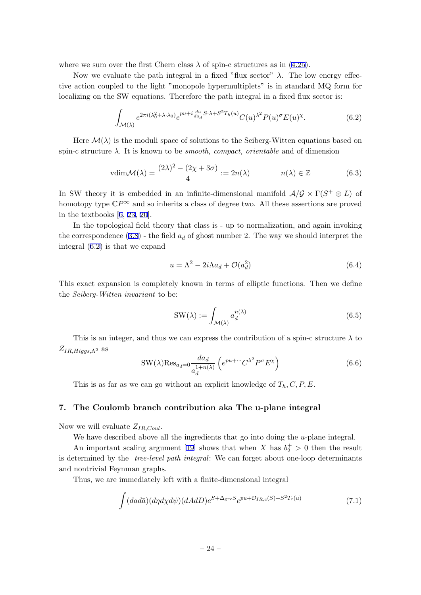<span id="page-24-0"></span>where we sum over the first Chern class  $\lambda$  of spin-c structures as in (4.25).

Now we evaluate the path integral in a fixed "flux sector" *λ*. The low energy effective action coupled to the light "monopole hypermultiplets" is in standard MQ form for localizing on the SW equations. Therefore the path integral in a fixe[d flu](#page-15-0)x sector is:

$$
\int_{\mathcal{M}(\lambda)} e^{2\pi i (\lambda_0^2 + \lambda \cdot \lambda_0)} e^{pu + i \frac{du}{da_d} S \cdot \lambda + S^2 T_h(u)} C(u)^{\lambda^2} P(u)^\sigma E(u)^\chi. \tag{6.2}
$$

Here  $\mathcal{M}(\lambda)$  is the moduli space of solutions to the Seiberg-Witten equations based on spin-c structure *λ*. It is known to be *smooth, compact, orientable* and of dimension

$$
vdim \mathcal{M}(\lambda) = \frac{(2\lambda)^2 - (2\chi + 3\sigma)}{4} := 2n(\lambda) \qquad n(\lambda) \in \mathbb{Z}
$$
 (6.3)

In SW theory it is embedded in an infinite-dimensional manifold  $\mathcal{A}/\mathcal{G} \times \Gamma(S^+ \otimes L)$  of homotopy type  $\mathbb{C}P^{\infty}$  and so inherits a class of degree two. All these assertions are proved in the textbooks [6, 23, 20].

In the topological field theory that class is - up to normalization, and again invoking the correspondence  $(3.8)$  - the field  $a_d$  of ghost number 2. The way we should interpret the integral (6.2) is t[ha](#page-34-0)[t w](#page-35-0)e [ex](#page-35-0)pand

$$
u = \Lambda^2 - 2i\Lambda a_d + \mathcal{O}(a_d^2)
$$
\n
$$
(6.4)
$$

This exact expansion is completely known in terms of elliptic functions. Then we define the *Seiberg-Witten invariant* to be:

$$
SW(\lambda) := \int_{\mathcal{M}(\lambda)} a_d^{n(\lambda)} \tag{6.5}
$$

This is an integer, and thus we can express the contribution of a spin-c structure  $\lambda$  to *ZIR,Higgs,*Λ<sup>2</sup> as

$$
SW(\lambda) Res_{a_d=0} \frac{da_d}{a_d^{1+n(\lambda)}} \left( e^{pu + \cdots} C^{\lambda^2} P^{\sigma} E^{\chi} \right)
$$
(6.6)

This is as far as we can go without an explicit knowledge of *Th, C, P, E*.

## **7. The Coulomb branch contribution aka The u-plane integral**

Now we will evaluate *ZIR,Coul*.

We have described above all the ingredients that go into doing the *u*-plane integral.

An important scaling argument [19] shows that when *X* has  $b_2^+ > 0$  then the result is determined by the *tree-level path integral*: We can forget about one-loop determinants and nontrivial Feynman graphs.

Thus, we are immediately left wi[th](#page-35-0) a finite-dimensional integral

$$
\int (d\alpha d\bar{a})(d\eta d\chi d\psi)(dAdD)e^{S+\Delta_{\rm grv}S}e^{pu+\mathcal{O}_{IR,c}(S)+S^2T_c(u)}\tag{7.1}
$$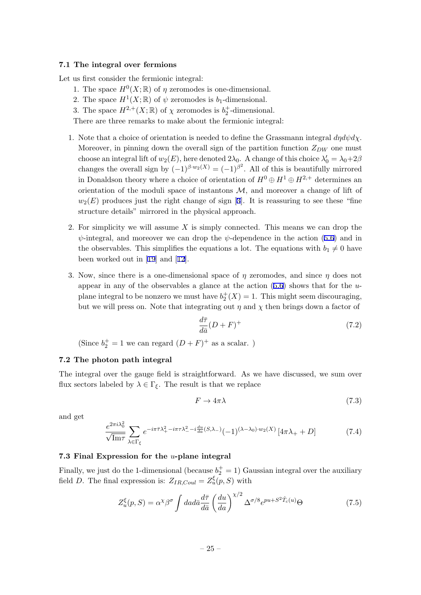#### <span id="page-25-0"></span>**7.1 The integral over fermions**

Let us first consider the fermionic integral:

- 1. The space  $H^0(X; \mathbb{R})$  of  $\eta$  zeromodes is one-dimensional.
- 2. The space  $H^1(X; \mathbb{R})$  of  $\psi$  zeromodes is  $b_1$ -dimensional.
- 3. The space  $H^{2,+}(X;\mathbb{R})$  of  $\chi$  zeromodes is  $b_2^+$ -dimensional.

There are three remarks to make about the fermionic integral:

- 1. Note that a choice of orientation is needed to define the Grassmann integral *dηdψdχ*. Moreover, in pinning down the overall sign of the partition function  $Z_{DW}$  one must choose an integral lift of  $w_2(E)$ , here denoted  $2\lambda_0$ . A change of this choice  $\lambda'_0 = \lambda_0 + 2\beta$ changes the overall sign by  $(-1)^{\beta \cdot w_2(X)} = (-1)^{\beta^2}$ . All of this is beautifully mirrored in Donaldson theory where a choice of orientation of  $H^0 \oplus H^1 \oplus H^{2,+}$  determines an orientation of the moduli space of instantons  $M$ , and moreover a change of lift of  $w_2(E)$  produces just the right change of sign [3]. It is reassuring to see these "fine" structure details" mirrored in the physical approach.
- 2. For simplicity we will assume *X* is simply connected. This means we can drop the *ψ*-integral, and moreover we can drop the *ψ*-d[ep](#page-34-0)endence in the action (5.6) and in the observables. This simplifies the equations a lot. The equations with  $b_1 \neq 0$  have been worked out in [19] and [12].
- 3. Now, since there is a one-dimensional space of *η* zeromodes, and since *[η](#page-18-0)* does not appear in any of the observables a glance at the action (5.6) shows that for the *u*plane integral to be [non](#page-35-0)zero [we m](#page-35-0)ust have  $b_2^+(X) = 1$ . This might seem discouraging, but we will press on. Note that integrating out  $\eta$  and  $\chi$  then brings down a factor of

$$
\frac{d\bar{\tau}}{d\bar{a}}(D+F)^{+}
$$
\n(7.2)

(Since  $b_2^+=1$  we can regard  $(D+F)^+$  as a scalar. )

#### **7.2 The photon path integral**

The integral over the gauge field is straightforward. As we have discussed, we sum over flux sectors labeled by  $\lambda \in \Gamma_{\xi}$ . The result is that we replace

$$
F \to 4\pi\lambda \tag{7.3}
$$

and get

$$
\frac{e^{2\pi i \lambda_0^2}}{\sqrt{\text{Im}\tau}} \sum_{\lambda \in \Gamma_\xi} e^{-i\pi \bar{\tau} \lambda_+^2 - i\pi \tau \lambda_-^2 - i\frac{du}{da}(S,\lambda_-)} (-1)^{(\lambda - \lambda_0) \cdot w_2(X)} \left[4\pi \lambda_+ + D\right]
$$
(7.4)

#### **7.3 Final Expression for the** *u***-plane integral**

Finally, we just do the 1-dimensional (because  $b_2^+ = 1$ ) Gaussian integral over the auxiliary field *D*. The final expression is:  $Z_{IR,Coul} = Z_u^{\xi}(p, S)$  with

$$
Z_u^{\xi}(p, S) = \alpha^{\chi} \beta^{\sigma} \int da d\bar{a} \frac{d\bar{\tau}}{d\bar{a}} \left(\frac{du}{da}\right)^{\chi/2} \Delta^{\sigma/8} e^{pu + S^2 \hat{T}_c(u)} \Theta \tag{7.5}
$$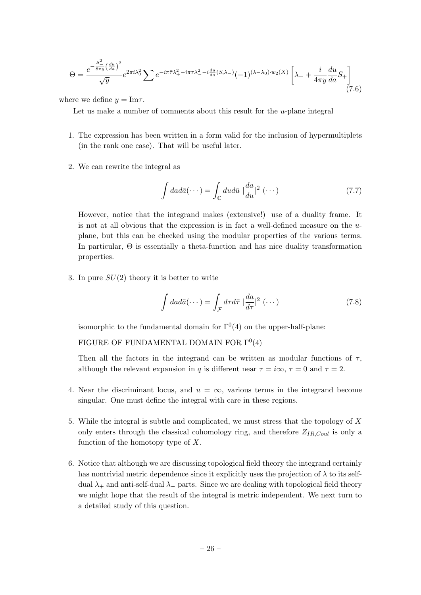$$
\Theta = \frac{e^{-\frac{S^2}{8\pi y} \left(\frac{du}{da}\right)^2}}{\sqrt{y}} e^{2\pi i \lambda_0^2} \sum e^{-i\pi \bar{\tau} \lambda_+^2 - i\pi \tau \lambda_-^2 - i\frac{du}{da}(S,\lambda_-)} (-1)^{(\lambda - \lambda_0) \cdot w_2(X)} \left[\lambda_+ + \frac{i}{4\pi y} \frac{du}{da} S_+\right]
$$
(7.6)

where we define  $y = \text{Im}\tau$ .

Let us make a number of comments about this result for the *u*-plane integral

- 1. The expression has been written in a form valid for the inclusion of hypermultiplets (in the rank one case). That will be useful later.
- 2. We can rewrite the integral as

$$
\int da d\bar{a}(\cdots) = \int_{\mathbb{C}} du d\bar{u} \mid \frac{da}{du}|^2 (\cdots)
$$
\n(7.7)

However, notice that the integrand makes (extensive!) use of a duality frame. It is not at all obvious that the expression is in fact a well-defined measure on the *u*plane, but this can be checked using the modular properties of the various terms. In particular, Θ is essentially a theta-function and has nice duality transformation properties.

3. In pure *SU*(2) theory it is better to write

$$
\int da d\bar{a}(\cdots) = \int_{\mathcal{F}} d\tau d\bar{\tau} \mid \frac{da}{d\tau} \mid^{2} (\cdots)
$$
\n(7.8)

isomorphic to the fundamental domain for  $\Gamma^{0}(4)$  on the upper-half-plane:

FIGURE OF FUNDAMENTAL DOMAIN FOR  $\Gamma^0(4)$ 

Then all the factors in the integrand can be written as modular functions of  $\tau$ , although the relevant expansion in *q* is different near  $\tau = i\infty$ ,  $\tau = 0$  and  $\tau = 2$ .

- 4. Near the discriminant locus, and  $u = \infty$ , various terms in the integrand become singular. One must define the integral with care in these regions.
- 5. While the integral is subtle and complicated, we must stress that the topology of *X* only enters through the classical cohomology ring, and therefore *ZIR,Coul* is only a function of the homotopy type of *X*.
- 6. Notice that although we are discussing topological field theory the integrand certainly has nontrivial metric dependence since it explicitly uses the projection of  $\lambda$  to its selfdual *λ*<sup>+</sup> and anti-self-dual *λ<sup>−</sup>* parts. Since we are dealing with topological field theory we might hope that the result of the integral is metric independent. We next turn to a detailed study of this question.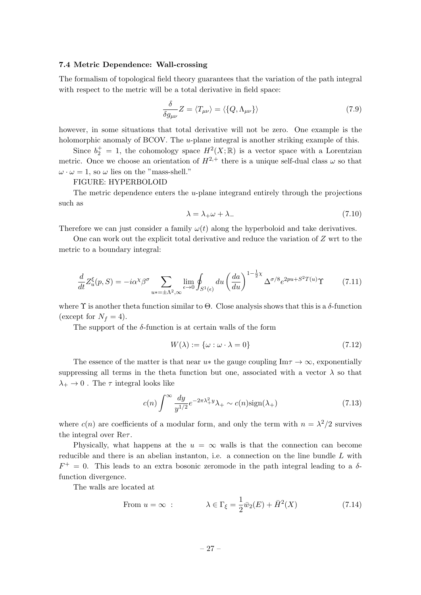## <span id="page-27-0"></span>**7.4 Metric Dependence: Wall-crossing**

The formalism of topological field theory guarantees that the variation of the path integral with respect to the metric will be a total derivative in field space:

$$
\frac{\delta}{\delta g_{\mu\nu}}Z = \langle T_{\mu\nu} \rangle = \langle \{ Q, \Lambda_{\mu\nu} \} \rangle \tag{7.9}
$$

however, in some situations that total derivative will not be zero. One example is the holomorphic anomaly of BCOV. The *u*-plane integral is another striking example of this.

Since  $b_2^+ = 1$ , the cohomology space  $H^2(X; \mathbb{R})$  is a vector space with a Lorentzian metric. Once we choose an orientation of  $H^{2,+}$  there is a unique self-dual class  $\omega$  so that  $\omega \cdot \omega = 1$ , so  $\omega$  lies on the "mass-shell."

#### FIGURE: HYPERBOLOID

The metric dependence enters the *u*-plane integrand entirely through the projections such as

$$
\lambda = \lambda_+ \omega + \lambda_- \tag{7.10}
$$

Therefore we can just consider a family  $\omega(t)$  along the hyperboloid and take derivatives.

One can work out the explicit total derivative and reduce the variation of *Z* wrt to the metric to a boundary integral:

$$
\frac{d}{dt}Z_u^{\xi}(p,S) = -i\alpha^{\chi}\beta^{\sigma} \sum_{u^* = \pm \Lambda^2, \infty} \lim_{\epsilon \to 0} \oint_{S^1(\epsilon)} du \left(\frac{da}{du}\right)^{1-\frac{1}{2}\chi} \Delta^{\sigma/8} e^{2pu + S^2 T(u)} \Upsilon
$$
\n(7.11)

where  $\Upsilon$  is another theta function similar to  $\Theta$ . Close analysis shows that this is a  $\delta$ -function (except for  $N_f = 4$ ).

The support of the *δ*-function is at certain walls of the form

$$
W(\lambda) := \{ \omega : \omega \cdot \lambda = 0 \}
$$
\n<sup>(7.12)</sup>

The essence of the matter is that near  $u*$  the gauge coupling Im $\tau \to \infty$ , exponentially suppressing all terms in the theta function but one, associated with a vector  $\lambda$  so that  $\lambda_+ \to 0$ . The *τ* integral looks like

$$
c(n)\int^{\infty} \frac{dy}{y^{1/2}} e^{-2\pi\lambda_+^2 y} \lambda_+ \sim c(n)\text{sign}(\lambda_+) \tag{7.13}
$$

where  $c(n)$  are coefficients of a modular form, and only the term with  $n = \lambda^2/2$  survives the integral over Re*τ* .

Physically, what happens at the  $u = \infty$  walls is that the connection can become reducible and there is an abelian instanton, i.e. a connection on the line bundle *L* with  $F^+ = 0$ . This leads to an extra bosonic zeromode in the path integral leading to a  $\delta$ function divergence.

The walls are located at

From 
$$
u = \infty
$$
:  $\lambda \in \Gamma_{\xi} = \frac{1}{2}\bar{w}_2(E) + \bar{H}^2(X)$  (7.14)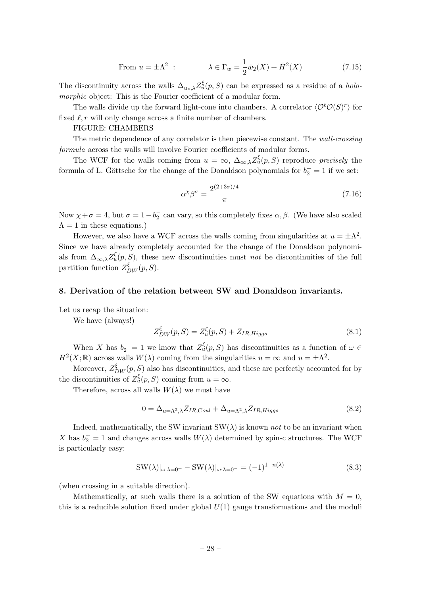From 
$$
u = \pm \Lambda^2
$$
:  $\lambda \in \Gamma_w = \frac{1}{2}\bar{w}_2(X) + \bar{H}^2(X)$  (7.15)

<span id="page-28-0"></span>The discontinuity across the walls  $\Delta_{u_*,\lambda} Z_u^{\xi}(p, S)$  can be expressed as a residue of a *holomorphic* object: This is the Fourier coefficient of a modular form.

The walls divide up the forward light-cone into chambers. A correlator  $\langle \mathcal{O}^{\ell} \mathcal{O}(S)^{r} \rangle$  for fixed  $\ell$ , r will only change across a finite number of chambers.

## FIGURE: CHAMBERS

The metric dependence of any correlator is then piecewise constant. The *wall-crossing formula* across the walls will involve Fourier coefficients of modular forms.

The WCF for the walls coming from  $u = \infty$ ,  $\Delta_{\infty,\lambda} Z_u^{\xi}(p, S)$  reproduce *precisely* the formula of L. Göttsche for the change of the Donaldson polynomials for  $b_2^+ = 1$  if we set:

$$
\alpha^{\chi}\beta^{\sigma} = \frac{2^{(2+3\sigma)/4}}{\pi} \tag{7.16}
$$

Now  $\chi + \sigma = 4$ , but  $\sigma = 1 - b_2^-$  can vary, so this completely fixes  $\alpha, \beta$ . (We have also scaled  $\Lambda = 1$  in these equations.)

However, we also have a WCF across the walls coming from singularities at  $u = \pm \Lambda^2$ . Since we have already completely accounted for the change of the Donaldson polynomials from  $\Delta_{\infty,\lambda}Z_u^{\xi}(p, S)$ , these new discontinuities must *not* be discontinuities of the full partition function  $Z_{DW}^{\xi}(p, S)$ .

#### **8. Derivation of the relation between SW and Donaldson invariants.**

Let us recap the situation:

We have (always!)

$$
Z_{DW}^{\xi}(p,S) = Z_u^{\xi}(p,S) + Z_{IR,Higgs}
$$
\n
$$
(8.1)
$$

When *X* has  $b_2^+ = 1$  we know that  $Z_u^{\xi}(p, S)$  has discontinuities as a function of  $\omega \in$  $H^2(X; \mathbb{R})$  across walls  $W(\lambda)$  coming from the singularities  $u = \infty$  and  $u = \pm \Lambda^2$ .

Moreover,  $Z_{DW}^{\xi}(p, S)$  also has discontinuities, and these are perfectly accounted for by the discontinuities of  $Z_u^{\xi}(p, S)$  coming from  $u = \infty$ .

Therefore, across all walls  $W(\lambda)$  we must have

$$
0 = \Delta_{u=\Lambda^2,\lambda} Z_{IR,Coul} + \Delta_{u=\Lambda^2,\lambda} Z_{IR,Higgs}
$$
\n
$$
(8.2)
$$

Indeed, mathematically, the SW invariant  $SW(\lambda)$  is known *not* to be an invariant when *X* has  $b_2^+ = 1$  and changes across walls  $W(\lambda)$  determined by spin-c structures. The WCF is particularly easy:

$$
SW(\lambda)|_{\omega \cdot \lambda = 0^+} - SW(\lambda)|_{\omega \cdot \lambda = 0^-} = (-1)^{1 + n(\lambda)} \tag{8.3}
$$

(when crossing in a suitable direction).

Mathematically, at such walls there is a solution of the SW equations with  $M = 0$ , this is a reducible solution fixed under global *U*(1) gauge transformations and the moduli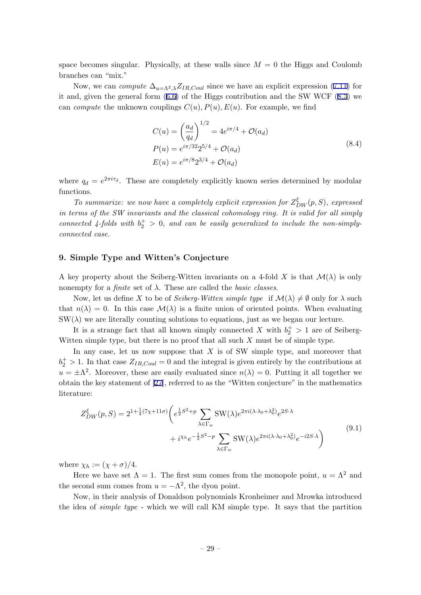<span id="page-29-0"></span>space becomes singular. Physically, at these walls since  $M = 0$  the Higgs and Coulomb branches can "mix."

Now, we can *compute*  $\Delta_{u=\Lambda^2,\lambda}Z_{IR,Coul}$  since we have an explicit expression (7.11) for it and, given the general form (6.6) of the Higgs contribution and the SW WCF (8.3) we can *compute* the unknown couplings  $C(u)$ ,  $P(u)$ ,  $E(u)$ . For example, we find

$$
C(u) = \left(\frac{a_d}{q_d}\right)^{1/2} = 4e^{i\pi/4} + \mathcal{O}(a_d)
$$
  
\n
$$
P(u) = e^{i\pi/32}2^{5/4} + \mathcal{O}(a_d)
$$
  
\n
$$
E(u) = e^{i\pi/8}2^{3/4} + \mathcal{O}(a_d)
$$
\n(8.4)

where  $q_d = e^{2\pi i \tau_d}$ . These are completely explicitly known series determined by modular functions.

*To summarize: we now have a completely explicit expression for*  $Z_{DW}^{\xi}(p, S)$ , expressed *in terms of the SW invariants and the classical cohomology ring. It is valid for all simply connected 4-folds with*  $b_2^+ > 0$ , and can be easily generalized to include the non-simply*connected case.*

## **9. Simple Type and Witten's Conjecture**

A key property about the Seiberg-Witten invariants on a 4-fold X is that  $\mathcal{M}(\lambda)$  is only nonempty for a *finite* set of *λ*. These are called the *basic classes*.

Now, let us define X to be of *Seiberg-Witten simple type* if  $\mathcal{M}(\lambda) \neq \emptyset$  only for  $\lambda$  such that  $n(\lambda) = 0$ . In this case  $\mathcal{M}(\lambda)$  is a finite union of oriented points. When evaluating  $SW(\lambda)$  we are literally counting solutions to equations, just as we began our lecture.

It is a strange fact that all known simply connected *X* with  $b_2^+ > 1$  are of Seiberg-Witten simple type, but there is no proof that all such *X* must be of simple type.

In any case, let us now suppose that *X* is of SW simple type, and moreover that  $b_2^+ > 1$ . In that case  $Z_{IR,Coul} = 0$  and the integral is given entirely by the contributions at  $u = \pm \Lambda^2$ . Moreover, these are easily evaluated since  $n(\lambda) = 0$ . Putting it all together we obtain the key statement of [27], referred to as the "Witten conjecture" in the mathematics literature:

$$
Z_{DW}^{\xi}(p,S) = 2^{1 + \frac{1}{4}(7\chi + 11\sigma)} \left( e^{\frac{1}{2}S^2 + p} \sum_{\lambda \in \Gamma_w} \text{SW}(\lambda) e^{2\pi i (\lambda \cdot \lambda_0 + \lambda_0^2)} e^{2S \cdot \lambda} + i^{\chi_h} e^{-\frac{1}{2}S^2 - p} \sum_{\lambda \in \Gamma_w} \text{SW}(\lambda) e^{2\pi i (\lambda \cdot \lambda_0 + \lambda_0^2)} e^{-i2S \cdot \lambda} \right)
$$
\n(9.1)

where  $\chi_h := (\chi + \sigma)/4$ .

Here we have set  $\Lambda = 1$ . The first sum comes from the monopole point,  $u = \Lambda^2$  and the second sum comes from  $u = -\Lambda^2$ , the dyon point.

Now, in their analysis of Donaldson polynomials Kronheimer and Mrowka introduced the idea of *simple type* - which we will call KM simple type. It says that the partition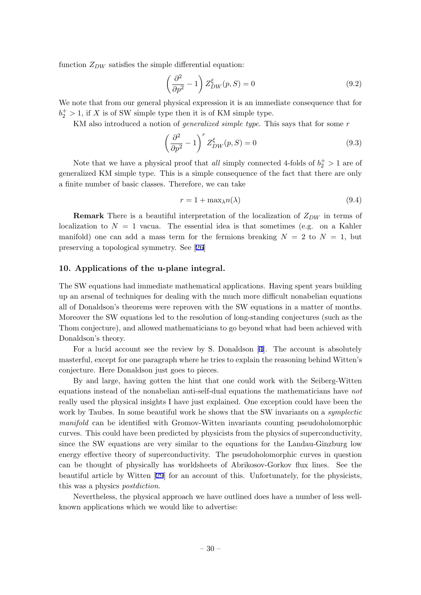<span id="page-30-0"></span>function *ZDW* satisfies the simple differential equation:

$$
\left(\frac{\partial^2}{\partial p^2} - 1\right) Z_{DW}^{\xi}(p, S) = 0
$$
\n(9.2)

We note that from our general physical expression it is an immediate consequence that for  $b_2^+ > 1$ , if *X* is of SW simple type then it is of KM simple type.

KM also introduced a notion of *generalized simple type*. This says that for some *r*

$$
\left(\frac{\partial^2}{\partial p^2} - 1\right)^r Z_{DW}^{\xi}(p, S) = 0
$$
\n(9.3)

Note that we have a physical proof that *all* simply connected 4-folds of  $b_2^+ > 1$  are of generalized KM simple type. This is a simple consequence of the fact that there are only a finite number of basic classes. Therefore, we can take

$$
r = 1 + \max_{\lambda} n(\lambda) \tag{9.4}
$$

**Remark** There is a beautiful interpretation of the localization of *ZDW* in terms of localization to  $N = 1$  vacua. The essential idea is that sometimes (e.g. on a Kahler manifold) one can add a mass term for the fermions breaking  $N = 2$  to  $N = 1$ , but preserving a topological symmetry. See [26]

## **10. Applications of the u-plane integral.**

The SW equations had immediate math[ema](#page-35-0)tical applications. Having spent years building up an arsenal of techniques for dealing with the much more difficult nonabelian equations all of Donaldson's theorems were reproven with the SW equations in a matter of months. Moreover the SW equations led to the resolution of long-standing conjectures (such as the Thom conjecture), and allowed mathematicians to go beyond what had been achieved with Donaldson's theory.

For a lucid account see the review by S. Donaldson [4]. The account is absolutely masterful, except for one paragraph where he tries to explain the reasoning behind Witten's conjecture. Here Donaldson just goes to pieces.

By and large, having gotten the hint that one could [w](#page-34-0)ork with the Seiberg-Witten equations instead of the nonabelian anti-self-dual equations the mathematicians have *not* really used the physical insights I have just explained. One exception could have been the work by Taubes. In some beautiful work he shows that the SW invariants on a *symplectic manifold* can be identified with Gromov-Witten invariants counting pseudoholomorphic curves. This could have been predicted by physicists from the physics of superconductivity, since the SW equations are very similar to the equations for the Landau-Ginzburg low energy effective theory of superconductivity. The pseudoholomorphic curves in question can be thought of physically has worldsheets of Abrikosov-Gorkov flux lines. See the beautiful article by Witten [29] for an account of this. Unfortunately, for the physicists, this was a physics *postdiction*.

Nevertheless, the physical approach we have outlined does have a number of less wellknown applications which w[e w](#page-35-0)ould like to advertise: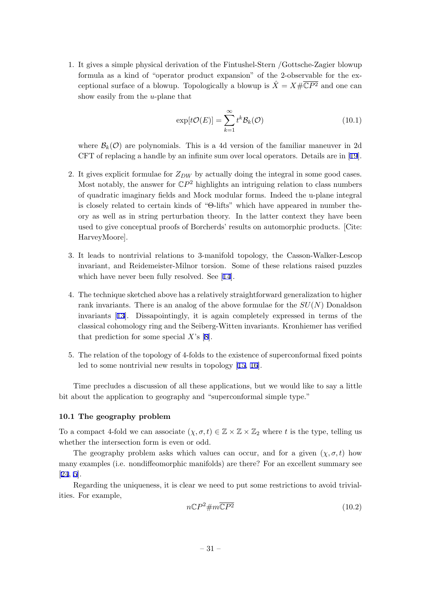<span id="page-31-0"></span>1. It gives a simple physical derivation of the Fintushel-Stern /Gottsche-Zagier blowup formula as a kind of "operator product expansion" of the 2-observable for the exceptional surface of a blowup. Topologically a blowup is  $\hat{X} = X \# \overline{\mathbb{C}P^2}$  and one can show easily from the *u*-plane that

$$
\exp[t\mathcal{O}(E)] = \sum_{k=1}^{\infty} t^k \mathcal{B}_k(\mathcal{O})
$$
\n(10.1)

where  $\mathcal{B}_k(\mathcal{O})$  are polynomials. This is a 4d version of the familiar maneuver in 2d CFT of replacing a handle by an infinite sum over local operators. Details are in [19].

- 2. It gives explicit formulae for *ZDW* by actually doing the integral in some good cases. Most notably, the answer for  $\mathbb{C}P^2$  highlights an intriguing relation to class numbers of quadratic imaginary fields and Mock modular forms. Indeed the u-plane inte[gra](#page-35-0)l is closely related to certain kinds of "Θ-lifts" which have appeared in number theory as well as in string perturbation theory. In the latter context they have been used to give conceptual proofs of Borcherds' results on automorphic products. [Cite: HarveyMoore].
- 3. It leads to nontrivial relations to 3-manifold topology, the Casson-Walker-Lescop invariant, and Reidemeister-Milnor torsion. Some of these relations raised puzzles which have never been fully resolved. See [14].
- 4. The technique sketched above has a relatively straightforward generalization to higher rank invariants. There is an analog of the above formulae for the *SU*(*N*) Donaldson invariants [13]. Dissapointingly, it is aga[in](#page-35-0) completely expressed in terms of the classical cohomology ring and the Seiberg-Witten invariants. Kronhiemer has verified that prediction for some special *X*'s [8].
- 5. The relatio[n o](#page-35-0)f the topology of 4-folds to the existence of superconformal fixed points led to some nontrivial new results in [to](#page-35-0)pology [15, 16].

Time precludes a discussion of all these applications, but we would like to say a little bit about the application to geography and "superco[nforma](#page-35-0)l simple type."

## **10.1 The geography problem**

To a compact 4-fold we can associate  $(\chi, \sigma, t) \in \mathbb{Z} \times \mathbb{Z} \times \mathbb{Z}_2$  where t is the type, telling us whether the intersection form is even or odd.

The geography problem asks which values can occur, and for a given  $(\chi, \sigma, t)$  how many examples (i.e. nondiffeomorphic manifolds) are there? For an excellent summary see [24, 5].

Regarding the uniqueness, it is clear we need to put some restrictions to avoid trivialities. For example,

$$
n\mathbb{C}P^2 \# m\overline{\mathbb{C}P^2} \tag{10.2}
$$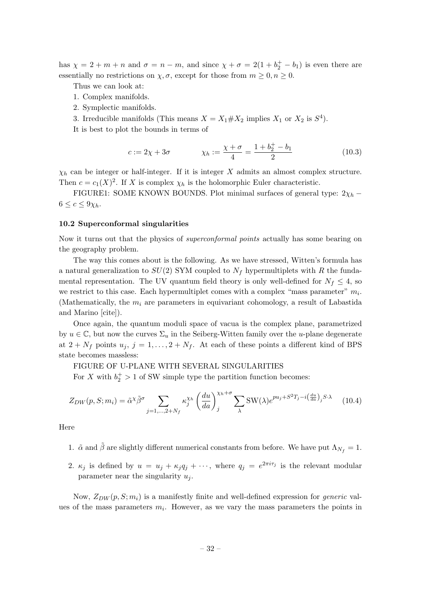<span id="page-32-0"></span>has  $\chi = 2 + m + n$  and  $\sigma = n - m$ , and since  $\chi + \sigma = 2(1 + b_2^+ - b_1)$  is even there are essentially no restrictions on  $\chi$ ,  $\sigma$ , except for those from  $m \geq 0, n \geq 0$ .

Thus we can look at:

- 1. Complex manifolds.
- 2. Symplectic manifolds.

3. Irreducible manifolds (This means  $X = X_1 \# X_2$  implies  $X_1$  or  $X_2$  is  $S^4$ ).

It is best to plot the bounds in terms of

$$
c := 2\chi + 3\sigma \qquad \chi_h := \frac{\chi + \sigma}{4} = \frac{1 + b_2^+ - b_1}{2} \tag{10.3}
$$

 $\chi_h$  can be integer or half-integer. If it is integer *X* admits an almost complex structure. Then  $c = c_1(X)^2$ . If *X* is complex  $\chi_h$  is the holomorphic Euler characteristic.

FIGURE1: SOME KNOWN BOUNDS. Plot minimal surfaces of general type:  $2\chi_h$  –  $6 \leq c \leq 9\chi_h$ .

#### **10.2 Superconformal singularities**

Now it turns out that the physics of *superconformal points* actually has some bearing on the geography problem.

The way this comes about is the following. As we have stressed, Witten's formula has a natural generalization to  $SU(2)$  SYM coupled to  $N_f$  hypermultiplets with R the fundamental representation. The UV quantum field theory is only well-defined for  $N_f \leq 4$ , so we restrict to this case. Each hypermultiplet comes with a complex "mass parameter"  $m_i$ . (Mathematically, the *m<sup>i</sup>* are parameters in equivariant cohomology, a result of Labastida and Marino [cite]).

Once again, the quantum moduli space of vacua is the complex plane, parametrized by  $u \in \mathbb{C}$ , but now the curves  $\Sigma_u$  in the Seiberg-Witten family over the *u*-plane degenerate at  $2 + N_f$  points  $u_j$ ,  $j = 1, \ldots, 2 + N_f$ . At each of these points a different kind of BPS state becomes massless:

## FIGURE OF U-PLANE WITH SEVERAL SINGULARITIES

For *X* with  $b_2^+ > 1$  of SW simple type the partition function becomes:

$$
Z_{DW}(p,S;m_i) = \tilde{\alpha}^{\chi}\tilde{\beta}^{\sigma} \sum_{j=1,\dots,2+N_f} \kappa_j^{\chi_h} \left(\frac{du}{da}\right)_j^{\chi_h+\sigma} \sum_{\lambda} \text{SW}(\lambda) e^{pu_j + S^2 T_j - i\left(\frac{du}{da}\right)_j S \cdot \lambda} \tag{10.4}
$$

Here

- 1.  $\tilde{\alpha}$  and  $\tilde{\beta}$  are slightly different numerical constants from before. We have put  $\Lambda_{N_f} = 1$ .
- 2.  $\kappa_j$  is defined by  $u = u_j + \kappa_j q_j + \cdots$ , where  $q_j = e^{2\pi i \tau_j}$  is the relevant modular parameter near the singularity  $u_j$ .

Now,  $Z_{DW}(p, S; m_i)$  is a manifestly finite and well-defined expression for *generic* values of the mass parameters  $m_i$ . However, as we vary the mass parameters the points in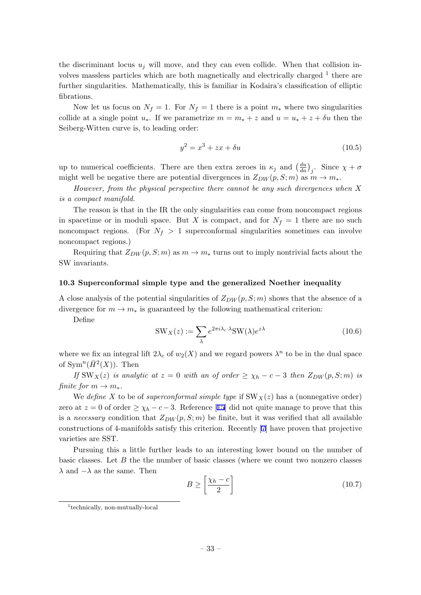the discriminant locus  $u_j$  will move, and they can even collide. When that collision involves massless particles which are both magnetically and electrically charged  $1$  there are further singularities. Mathematically, this is familiar in Kodaira's classification of elliptic fibrations.

Now let us focus on  $N_f = 1$ . For  $N_f = 1$  there is a point  $m_*$  where two singularities collide at a single point  $u_*$ . If we parametrize  $m = m_* + z$  and  $u = u_* + z + \delta u$  then the Seiberg-Witten curve is, to leading order:

$$
y^2 = x^3 + zx + \delta u \tag{10.5}
$$

up to numerical coefficients. There are then extra zeroes in  $\kappa_j$  and  $\left(\frac{du}{da}\right)_j$ . Since  $\chi + \sigma$ might well be negative there are potential divergences in  $Z_{DW}(p, S; m)$  as  $m \to m_*$ .

*However, from the physical perspective there cannot be any such divergences when X is a compact manifold.*

The reason is that in the IR the only singularities can come from noncompact regions in spacetime or in moduli space. But X is compact, and for  $N_f = 1$  there are no such noncompact regions. (For  $N_f > 1$  superconformal singularities sometimes can involve noncompact regions.)

Requiring that  $Z_{DW}(p, S; m)$  as  $m \to m_*$  turns out to imply nontrivial facts about the SW invariants.

#### **10.3 Superconformal simple type and the generalized Noether inequality**

A close analysis of the potential singularities of *ZDW* (*p, S*; *m*) shows that the absence of a divergence for  $m \to m_*$  is guaranteed by the following mathematical criterion:

Define

$$
SW_X(z) := \sum_{\lambda} e^{2\pi i \lambda_c \cdot \lambda} SW(\lambda) e^{z\lambda}
$$
 (10.6)

where we fix an integral lift  $2\lambda_c$  of  $w_2(X)$  and we regard powers  $\lambda^n$  to be in the dual space of  $\text{Sym}^n(\bar{H}^2(X))$ . Then

*If*  $SW_X(z)$  *is analytic at*  $z = 0$  *with an of order*  $\geq \chi_h - c - 3$  *then*  $Z_{DW}(p, S; m)$  *is finite for*  $m \rightarrow m_*$ *.* 

We *define* X to be of *superconformal simple type* if  $SW_X(z)$  has a (nonnegative order) zero at  $z = 0$  of order  $\geq \chi_h - c - 3$ . Reference [15] did not quite manage to prove that this is a *necessary* condition that  $Z_{DW}(p, S; m)$  be finite, but it was verified that all available constructions of 4-manifolds satisfy this criterion. Recently [7] have proven that projective varieties are SST.

Pursuing this a little further leads to an interesting lower bound on the number of basic classes. Let *B* the the number of basic classes (where [w](#page-34-0)e count two nonzero classes *λ* and *−λ* as the same. Then

$$
B \ge \left[\frac{\chi_h - c}{2}\right] \tag{10.7}
$$

<sup>1</sup> technically, non-mutually-local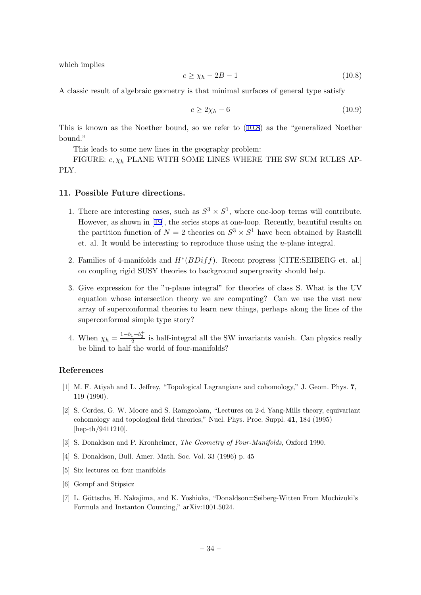<span id="page-34-0"></span>which implies

$$
c \ge \chi_h - 2B - 1 \tag{10.8}
$$

A classic result of algebraic geometry is that minimal surfaces of general type satisfy

$$
c \ge 2\chi_h - 6\tag{10.9}
$$

This is known as the Noether bound, so we refer to (10.8) as the "generalized Noether bound."

This leads to some new lines in the geography problem:

FIGURE:  $c, \chi_h$  PLANE WITH SOME LINES WHERE THE SW SUM RULES AP-PLY.

#### **11. Possible Future directions.**

- 1. There are interesting cases, such as  $S^3 \times S^1$ , where one-loop terms will contribute. However, as shown in [19], the series stops at one-loop. Recently, beautiful results on the partition function of  $N = 2$  theories on  $S^3 \times S^1$  have been obtained by Rastelli et. al. It would be interesting to reproduce those using the *u*-plane integral.
- 2. Families of 4-manifold[s a](#page-35-0)nd *H∗* (*BDiff*). Recent progress [CITE:SEIBERG et. al.] on coupling rigid SUSY theories to background supergravity should help.
- 3. Give expression for the "u-plane integral" for theories of class S. What is the UV equation whose intersection theory we are computing? Can we use the vast new array of superconformal theories to learn new things, perhaps along the lines of the superconformal simple type story?
- 4. When  $\chi_h = \frac{1 b_1 + b_2^+}{2}$  is half-integral all the SW invariants vanish. Can physics really be blind to half the world of four-manifolds?

## **References**

- [1] M. F. Atiyah and L. Jeffrey, "Topological Lagrangians and cohomology," J. Geom. Phys. **7**, 119 (1990).
- [2] S. Cordes, G. W. Moore and S. Ramgoolam, "Lectures on 2-d Yang-Mills theory, equivariant cohomology and topological field theories," Nucl. Phys. Proc. Suppl. **41**, 184 (1995) [hep-th/9411210].
- [3] S. Donaldson and P. Kronheimer, *The Geometry of Four-Manifolds*, Oxford 1990.
- [4] S. Donaldson, Bull. Amer. Math. Soc. Vol. 33 (1996) p. 45
- [5] Six lectures on four manifolds
- [6] Gompf and Stipsicz
- [7] L. Göttsche, H. Nakajima, and K. Yoshioka, "Donaldson=Seiberg-Witten From Mochizuki's Formula and Instanton Counting," arXiv:1001.5024.